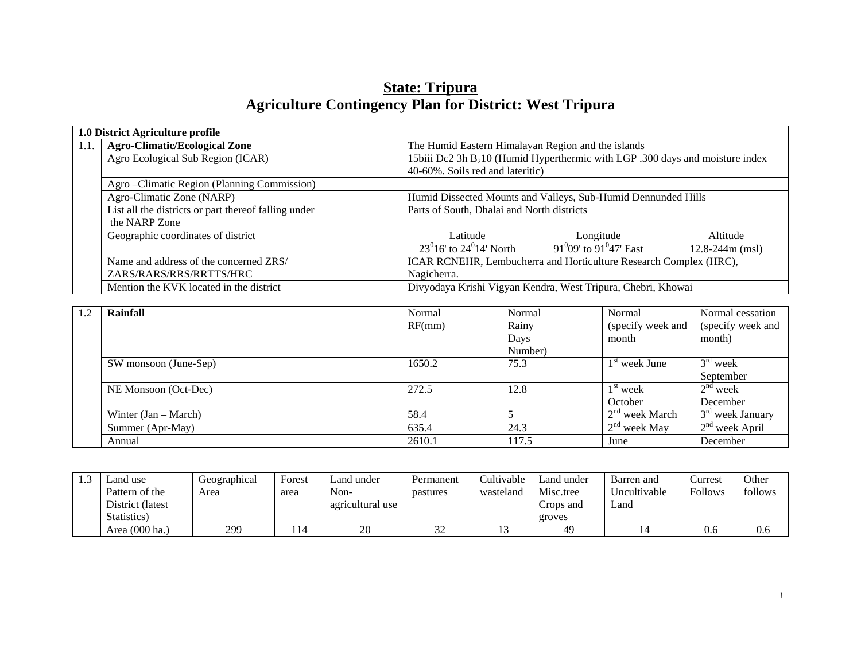# **State: Tripura Agriculture Contingency Plan for District: West Tripura**

|      | 1.0 District Agriculture profile                     |                                            |                                                                                           |                     |  |  |  |  |  |
|------|------------------------------------------------------|--------------------------------------------|-------------------------------------------------------------------------------------------|---------------------|--|--|--|--|--|
| 1.1. | <b>Agro-Climatic/Ecological Zone</b>                 |                                            | The Humid Eastern Himalayan Region and the islands                                        |                     |  |  |  |  |  |
|      | Agro Ecological Sub Region (ICAR)                    |                                            | 15biii Dc2 3h B <sub>2</sub> 10 (Humid Hyperthermic with LGP .300 days and moisture index |                     |  |  |  |  |  |
|      |                                                      | 40-60%. Soils red and lateritic)           |                                                                                           |                     |  |  |  |  |  |
|      | Agro-Climatic Region (Planning Commission)           |                                            |                                                                                           |                     |  |  |  |  |  |
|      | Agro-Climatic Zone (NARP)                            |                                            | Humid Dissected Mounts and Valleys, Sub-Humid Dennunded Hills                             |                     |  |  |  |  |  |
|      | List all the districts or part thereof falling under | Parts of South, Dhalai and North districts |                                                                                           |                     |  |  |  |  |  |
|      | the NARP Zone                                        |                                            |                                                                                           |                     |  |  |  |  |  |
|      | Geographic coordinates of district                   | Latitude                                   | Longitude                                                                                 | Altitude            |  |  |  |  |  |
|      |                                                      | $23^{0}16'$ to $24^{0}14'$ North           | 91 <sup>0</sup> 09' to 91 <sup>0</sup> 47' East                                           | $12.8 - 244m$ (msl) |  |  |  |  |  |
|      | Name and address of the concerned ZRS/               |                                            | ICAR RCNEHR, Lembucherra and Horticulture Research Complex (HRC),                         |                     |  |  |  |  |  |
|      | ZARS/RARS/RRS/RRTTS/HRC                              | Nagicherra.                                |                                                                                           |                     |  |  |  |  |  |
|      | Mention the KVK located in the district              |                                            | Divyodaya Krishi Vigyan Kendra, West Tripura, Chebri, Khowai                              |                     |  |  |  |  |  |

| 1.2 | Rainfall               | Normal | Normal  | Normal            | Normal cessation   |
|-----|------------------------|--------|---------|-------------------|--------------------|
|     |                        | RF(mm) | Rainy   | (specify week and | (specify week and  |
|     |                        |        | Days    | month             | month)             |
|     |                        |        | Number) |                   |                    |
|     | SW monsoon (June-Sep)  | 1650.2 | 75.3    | $1st$ week June   | $3rd$ week         |
|     |                        |        |         |                   | September          |
|     | NE Monsoon (Oct-Dec)   | 272.5  | 12.8    | $1st$ week        | $2nd$ week         |
|     |                        |        |         | October           | December           |
|     | Winter $(Jan - March)$ | 58.4   |         | $2nd$ week March  | $3rd$ week January |
|     | Summer (Apr-May)       | 635.4  | 24.3    | $2nd$ week May    | $2nd$ week April   |
|     | Annual                 | 2610.1 | 117.5   | June              | December           |

| <br>Land use      | Geographical | Forest | and under_       | Permanent     | Cultivable | Land under | Barren and   | Currest        | Other   |
|-------------------|--------------|--------|------------------|---------------|------------|------------|--------------|----------------|---------|
| Pattern of the    | Area         | area   | Non-             | pastures      | wasteland  | Misc.tree  | Uncultivable | <b>Follows</b> | follows |
| District (latest) |              |        | agricultural use |               |            | Crops and  | ∟and         |                |         |
| Statistics)       |              |        |                  |               |            | groves     |              |                |         |
| Area (000 ha.)    | 299          | 14،    | $\bigcap$<br>∠∪  | $\sim$<br>ے ب |            | 49         |              | 0.6            | 0.6     |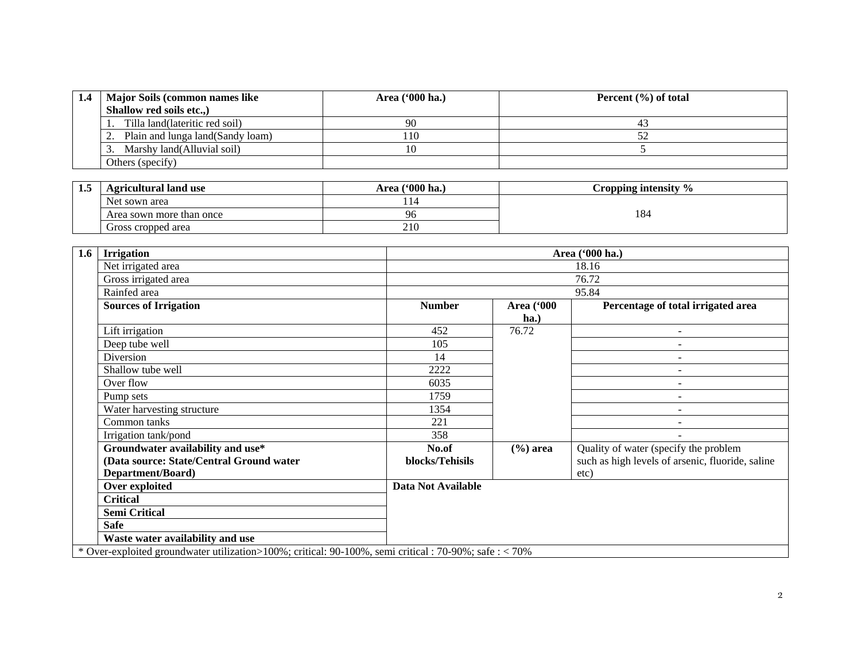| 1.4 | <b>Major Soils (common names like)</b> | Area ('000 ha.) | Percent $(\% )$ of total |
|-----|----------------------------------------|-----------------|--------------------------|
|     | Shallow red soils etc.,                |                 |                          |
|     | Tilla land(lateritic red soil)         | -90             | 41                       |
|     | Plain and lunga land (Sandy loam)      | 110             |                          |
|     | Marshy land (Alluvial soil)            |                 |                          |
|     | Others (specify)                       |                 |                          |

| -- | <b>Agricultural land use</b> | $(900)$ ha.<br>Area | Cropping intensity % |
|----|------------------------------|---------------------|----------------------|
|    | Net sown area                |                     |                      |
|    | Area sown more than once     | 96                  | 184                  |
|    | Gross cropped area           | 210                 |                      |

| 1.6<br><b>Irrigation</b>                                                                             |                    |                   | Area ('000 ha.)                                  |  |  |  |
|------------------------------------------------------------------------------------------------------|--------------------|-------------------|--------------------------------------------------|--|--|--|
| Net irrigated area                                                                                   |                    |                   | 18.16                                            |  |  |  |
| Gross irrigated area                                                                                 |                    |                   | 76.72                                            |  |  |  |
| Rainfed area                                                                                         |                    | 95.84             |                                                  |  |  |  |
| <b>Sources of Irrigation</b>                                                                         | <b>Number</b>      | <b>Area</b> ('000 | Percentage of total irrigated area               |  |  |  |
|                                                                                                      |                    | $ha.$             |                                                  |  |  |  |
| Lift irrigation                                                                                      | 452                | 76.72             |                                                  |  |  |  |
| Deep tube well                                                                                       | 105                |                   |                                                  |  |  |  |
| Diversion                                                                                            | 14                 |                   |                                                  |  |  |  |
| Shallow tube well                                                                                    | 2222               |                   |                                                  |  |  |  |
| Over flow                                                                                            | 6035               |                   |                                                  |  |  |  |
| Pump sets                                                                                            | 1759               |                   | $\overline{\phantom{a}}$                         |  |  |  |
| Water harvesting structure                                                                           | 1354               |                   | $\overline{\phantom{a}}$                         |  |  |  |
| Common tanks                                                                                         | 221                |                   |                                                  |  |  |  |
| Irrigation tank/pond                                                                                 | 358                |                   |                                                  |  |  |  |
| Groundwater availability and use*                                                                    | No.of              | $(\% )$ area      | Quality of water (specify the problem            |  |  |  |
| (Data source: State/Central Ground water                                                             | blocks/Tehisils    |                   | such as high levels of arsenic, fluoride, saline |  |  |  |
| Department/Board)                                                                                    |                    |                   | etc)                                             |  |  |  |
| Over exploited                                                                                       | Data Not Available |                   |                                                  |  |  |  |
| <b>Critical</b>                                                                                      |                    |                   |                                                  |  |  |  |
| <b>Semi Critical</b>                                                                                 |                    |                   |                                                  |  |  |  |
| <b>Safe</b>                                                                                          |                    |                   |                                                  |  |  |  |
| Waste water availability and use                                                                     |                    |                   |                                                  |  |  |  |
| * Over-exploited groundwater utilization>100%; critical: 90-100%, semi critical: 70-90%; safe: < 70% |                    |                   |                                                  |  |  |  |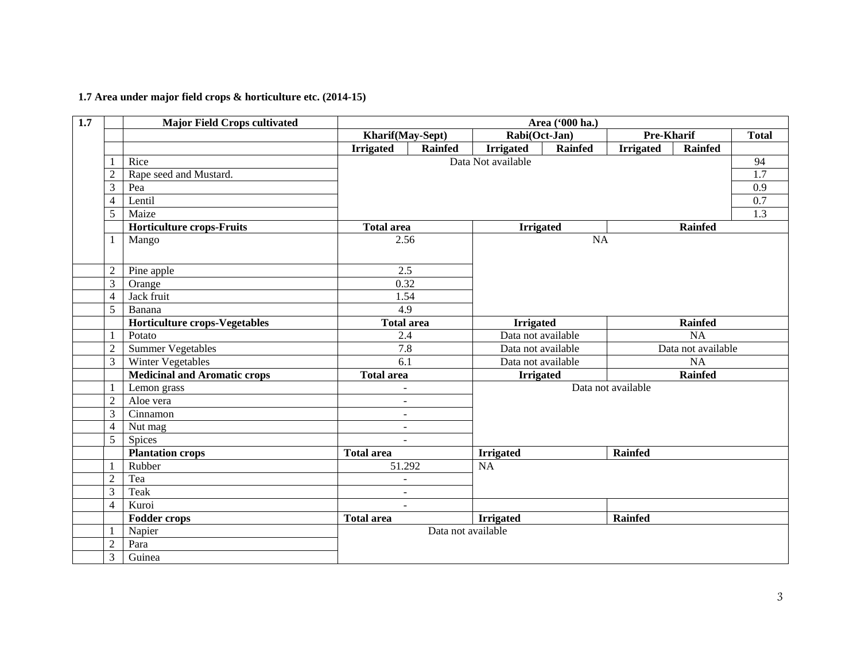## **1.7 Area under major field crops & horticulture etc. (2014-15)**

| 1.7 |                | <b>Major Field Crops cultivated</b>  |                          |                    |                    | Area ('000 ha.) |                    |                |                  |  |  |
|-----|----------------|--------------------------------------|--------------------------|--------------------|--------------------|-----------------|--------------------|----------------|------------------|--|--|
|     |                |                                      | Kharif(May-Sept)         |                    | Rabi(Oct-Jan)      |                 | Pre-Kharif         |                | <b>Total</b>     |  |  |
|     |                |                                      | <b>Irrigated</b>         | <b>Rainfed</b>     | <b>Irrigated</b>   | Rainfed         | <b>Irrigated</b>   | Rainfed        |                  |  |  |
|     |                | Rice                                 |                          |                    | Data Not available |                 |                    |                | 94               |  |  |
|     | $\overline{c}$ | Rape seed and Mustard.               |                          |                    |                    |                 |                    |                | $\overline{1.7}$ |  |  |
|     | 3              | Pea                                  |                          |                    |                    |                 |                    |                | 0.9              |  |  |
|     | $\overline{4}$ | Lentil                               |                          |                    |                    |                 |                    |                | 0.7              |  |  |
|     | 5              | Maize                                |                          |                    |                    |                 |                    |                |                  |  |  |
|     |                | <b>Horticulture crops-Fruits</b>     | <b>Total area</b>        |                    | <b>Irrigated</b>   |                 |                    | <b>Rainfed</b> |                  |  |  |
|     | 1              | Mango                                | 2.56                     |                    |                    | <b>NA</b>       |                    |                |                  |  |  |
|     |                |                                      |                          |                    |                    |                 |                    |                |                  |  |  |
|     | $\overline{c}$ | Pine apple                           | 2.5                      |                    |                    |                 |                    |                |                  |  |  |
|     | 3              | Orange                               | 0.32                     |                    |                    |                 |                    |                |                  |  |  |
|     | $\overline{4}$ | Jack fruit                           | 1.54                     |                    |                    |                 |                    |                |                  |  |  |
|     | 5              | Banana                               | 4.9                      |                    |                    |                 |                    |                |                  |  |  |
|     |                | <b>Horticulture crops-Vegetables</b> | <b>Total area</b>        |                    | <b>Irrigated</b>   |                 |                    | <b>Rainfed</b> |                  |  |  |
|     |                | Potato                               | 2.4                      |                    | Data not available |                 | NA                 |                |                  |  |  |
|     | $\overline{c}$ | <b>Summer Vegetables</b>             | 7.8                      |                    | Data not available |                 | Data not available |                |                  |  |  |
|     | $\overline{3}$ | <b>Winter Vegetables</b>             | 6.1                      |                    | Data not available |                 | NA                 |                |                  |  |  |
|     |                | <b>Medicinal and Aromatic crops</b>  | <b>Total area</b>        |                    | <b>Irrigated</b>   |                 | <b>Rainfed</b>     |                |                  |  |  |
|     |                | Lemon grass                          | $\sim$                   |                    |                    |                 | Data not available |                |                  |  |  |
|     | $\overline{2}$ | Aloe vera                            | $\overline{\phantom{a}}$ |                    |                    |                 |                    |                |                  |  |  |
|     | $\overline{3}$ | Cinnamon                             | $\blacksquare$           |                    |                    |                 |                    |                |                  |  |  |
|     | $\overline{4}$ | Nut mag                              | $\blacksquare$           |                    |                    |                 |                    |                |                  |  |  |
|     | 5              | Spices                               | $\sim$                   |                    |                    |                 |                    |                |                  |  |  |
|     |                | <b>Plantation crops</b>              | <b>Total area</b>        |                    | <b>Irrigated</b>   |                 | <b>Rainfed</b>     |                |                  |  |  |
|     |                | Rubber                               | 51.292                   |                    | NA                 |                 |                    |                |                  |  |  |
|     | $\overline{2}$ | Tea                                  | $\blacksquare$           |                    |                    |                 |                    |                |                  |  |  |
|     | 3              | Teak                                 | $\blacksquare$           |                    |                    |                 |                    |                |                  |  |  |
|     | $\overline{4}$ | Kuroi                                | $\sim$                   |                    |                    |                 |                    |                |                  |  |  |
|     |                | <b>Fodder crops</b>                  | <b>Total area</b>        |                    | <b>Irrigated</b>   |                 | <b>Rainfed</b>     |                |                  |  |  |
|     |                | Napier                               |                          | Data not available |                    |                 |                    |                |                  |  |  |
|     | $\overline{2}$ | Para                                 |                          |                    |                    |                 |                    |                |                  |  |  |
|     | $\overline{3}$ | Guinea                               |                          |                    |                    |                 |                    |                |                  |  |  |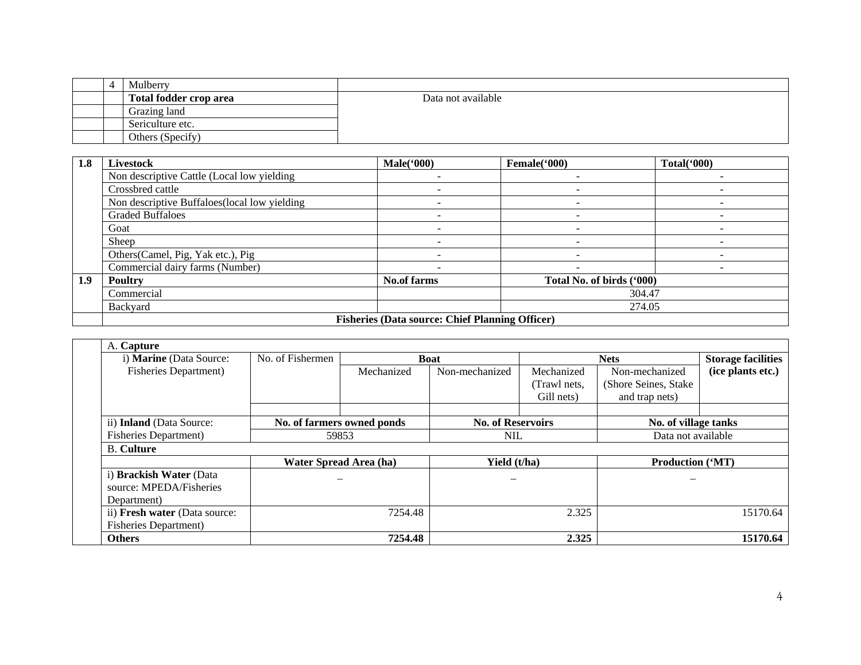|  | Mulberry               |                    |
|--|------------------------|--------------------|
|  | Total fodder crop area | Data not available |
|  | Grazing land           |                    |
|  | Sericulture etc.       |                    |
|  | Others (Specify)       |                    |

| 1.8 | Livestock                                     | Male('000)                                             | Female('000)              | Total('000) |
|-----|-----------------------------------------------|--------------------------------------------------------|---------------------------|-------------|
|     | Non descriptive Cattle (Local low yielding    |                                                        |                           |             |
|     | Crossbred cattle                              |                                                        |                           |             |
|     | Non descriptive Buffaloes (local low yielding | $\overline{\phantom{0}}$                               |                           |             |
|     | <b>Graded Buffaloes</b>                       |                                                        |                           |             |
|     | Goat                                          | $\overline{\phantom{0}}$                               |                           |             |
|     | Sheep                                         |                                                        |                           |             |
|     | Others (Camel, Pig, Yak etc.), Pig            | -                                                      |                           |             |
|     | Commercial dairy farms (Number)               |                                                        |                           |             |
| 1.9 | <b>Poultry</b>                                | <b>No.of farms</b>                                     | Total No. of birds ('000) |             |
|     | Commercial                                    |                                                        |                           | 304.47      |
|     | Backyard                                      |                                                        |                           | 274.05      |
|     |                                               | <b>Fisheries (Data source: Chief Planning Officer)</b> |                           |             |

| A. Capture<br>i) Marine (Data Source:                             | No. of Fishermen           |            | <b>Boat</b>              |                                          | <b>Nets</b>                                               | <b>Storage facilities</b> |
|-------------------------------------------------------------------|----------------------------|------------|--------------------------|------------------------------------------|-----------------------------------------------------------|---------------------------|
| <b>Fisheries Department</b> )                                     |                            | Mechanized | Non-mechanized           | Mechanized<br>(Trawl nets,<br>Gill nets) | Non-mechanized<br>(Shore Seines, Stake)<br>and trap nets) | (ice plants etc.)         |
| ii) Inland (Data Source:                                          | No. of farmers owned ponds |            | <b>No. of Reservoirs</b> |                                          | No. of village tanks                                      |                           |
| <b>Fisheries Department)</b>                                      | 59853                      |            | NIL.                     |                                          | Data not available                                        |                           |
| <b>B.</b> Culture                                                 |                            |            |                          |                                          |                                                           |                           |
|                                                                   | Water Spread Area (ha)     |            | Yield (t/ha)             |                                          | <b>Production ('MT)</b>                                   |                           |
| i) Brackish Water (Data<br>source: MPEDA/Fisheries<br>Department) |                            |            |                          |                                          |                                                           |                           |
| ii) Fresh water (Data source:<br><b>Fisheries Department</b> )    |                            | 7254.48    |                          | 2.325                                    |                                                           | 15170.64                  |
| <b>Others</b>                                                     |                            | 7254.48    |                          | 2.325                                    |                                                           | 15170.64                  |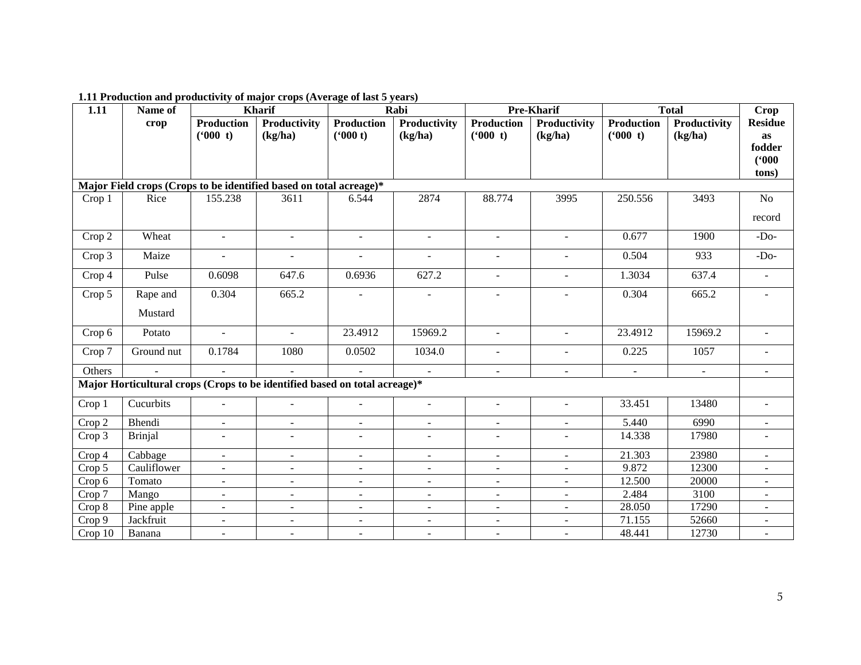| 1.11    | Name of        |                   | <b>Kharif</b>                                                              |                   | Rabi           |                   | Pre-Kharif     | <b>Total</b>      |                | Crop           |
|---------|----------------|-------------------|----------------------------------------------------------------------------|-------------------|----------------|-------------------|----------------|-------------------|----------------|----------------|
|         | crop           | <b>Production</b> | Productivity                                                               | <b>Production</b> | Productivity   | <b>Production</b> | Productivity   | <b>Production</b> | Productivity   | <b>Residue</b> |
|         |                | (600 t)           | (kg/ha)                                                                    | (900 t)           | (kg/ha)        | $(^{6}000t)$      | (kg/ha)        | $(^{6}000t)$      | (kg/ha)        | <b>as</b>      |
|         |                |                   |                                                                            |                   |                |                   |                |                   |                | fodder         |
|         |                |                   |                                                                            |                   |                |                   |                |                   |                | (900)          |
|         |                |                   | Major Field crops (Crops to be identified based on total acreage)*         |                   |                |                   |                |                   |                | tons)          |
| Crop 1  | Rice           | 155.238           | 3611                                                                       | 6.544             | 2874           | 88.774            | 3995           | 250.556           | 3493           | No             |
|         |                |                   |                                                                            |                   |                |                   |                |                   |                |                |
|         |                |                   |                                                                            |                   |                |                   |                |                   |                | record         |
| Crop 2  | Wheat          | $\sim$            | $\sim$                                                                     | $\sim$            | $\sim$         | $\blacksquare$    | $\sim$         | 0.677             | 1900           | $-Do-$         |
| Crop 3  | Maize          | $\blacksquare$    | $\blacksquare$                                                             | $\sim$            | $\sim$         | $\blacksquare$    | $\blacksquare$ | 0.504             | 933            | $-Do-$         |
| Crop 4  | Pulse          | 0.6098            | 647.6                                                                      | 0.6936            | 627.2          | $\blacksquare$    | $\blacksquare$ | 1.3034            | 637.4          | $\blacksquare$ |
| Crop 5  | Rape and       | 0.304             | 665.2                                                                      |                   |                |                   |                | 0.304             | 665.2          |                |
|         | Mustard        |                   |                                                                            |                   |                |                   |                |                   |                |                |
| Crop 6  | Potato         | $\blacksquare$    | $\equiv$                                                                   | 23.4912           | 15969.2        | $\blacksquare$    | $\blacksquare$ | 23.4912           | 15969.2        |                |
| Crop 7  | Ground nut     | 0.1784            | 1080                                                                       | 0.0502            | 1034.0         | $\blacksquare$    | $\sim$         | 0.225             | 1057           | $\sim$         |
| Others  |                | $\sim$            |                                                                            |                   | $\sim$         | $\blacksquare$    | $\blacksquare$ | $\sim$            | $\blacksquare$ |                |
|         |                |                   | Major Horticultural crops (Crops to be identified based on total acreage)* |                   |                |                   |                |                   |                |                |
|         | Cucurbits      |                   |                                                                            |                   |                |                   |                | 33.451            | 13480          |                |
| Crop 1  |                | $\sim$            | $\sim$                                                                     | $\sim$            | $\mathbf{r}$   | $\blacksquare$    | $\blacksquare$ |                   |                |                |
| Crop 2  | Bhendi         | $\sim$            | $\sim$                                                                     | $\sim$            | $\mathbf{r}$   | $\blacksquare$    | $\sim$         | 5.440             | 6990           |                |
| Crop 3  | <b>Brinjal</b> |                   | $\sim$                                                                     |                   | $\blacksquare$ | $\blacksquare$    |                | 14.338            | 17980          |                |
| Crop 4  | Cabbage        | $\blacksquare$    | $\blacksquare$                                                             | $\sim$            | $\blacksquare$ | $\blacksquare$    | $\blacksquare$ | 21.303            | 23980          | $\sim$         |
| Crop 5  | Cauliflower    | $\overline{a}$    | $\omega$                                                                   |                   | $\sim$         | $\blacksquare$    | ÷.             | 9.872             | 12300          |                |
| Crop 6  | Tomato         | $\sim$            | $\sim$                                                                     | $\blacksquare$    | $\blacksquare$ | $\blacksquare$    | $\blacksquare$ | 12.500            | 20000          |                |
| Crop 7  | Mango          | $\overline{a}$    | $\overline{a}$                                                             |                   | $\sim$         | $\overline{a}$    | L.             | 2.484             | 3100           |                |
| Crop 8  | Pine apple     | $\blacksquare$    | $\blacksquare$                                                             | $\blacksquare$    | $\blacksquare$ | $\blacksquare$    | $\blacksquare$ | 28.050            | 17290          | $\blacksquare$ |
| Crop 9  | Jackfruit      | $\blacksquare$    | $\overline{\phantom{a}}$                                                   |                   | $\blacksquare$ | $\blacksquare$    | $\blacksquare$ | 71.155            | 52660          |                |
| Crop 10 | Banana         | $\sim$            | $\blacksquare$                                                             |                   |                | $\blacksquare$    |                | 48.441            | 12730          |                |

**1.11 Production and productivity of major crops (Average of last 5 years)**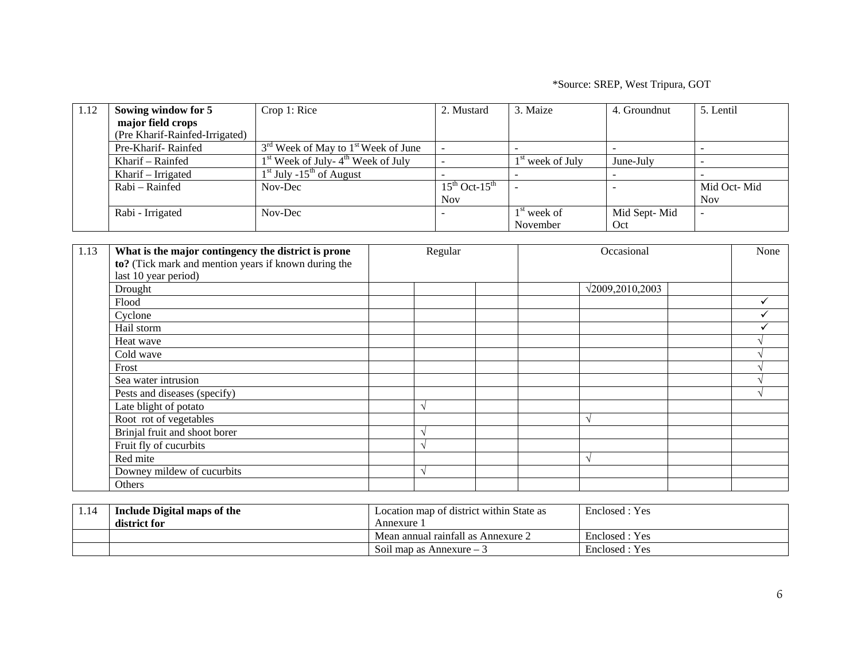\*Source: SREP, West Tripura, GOT

| 1.12 | Sowing window for 5            | Crop 1: Rice                            | 2. Mustard                             | 3. Maize           | 4. Groundnut | 5. Lentil   |
|------|--------------------------------|-----------------------------------------|----------------------------------------|--------------------|--------------|-------------|
|      | major field crops              |                                         |                                        |                    |              |             |
|      | (Pre Kharif-Rainfed-Irrigated) |                                         |                                        |                    |              |             |
|      | Pre-Kharif-Rainfed             | $3rd$ Week of May to $1st$ Week of June |                                        |                    |              |             |
|      | Kharif – Rainfed               | $1st$ Week of July- $4th$ Week of July  |                                        | $1st$ week of July | June-July    |             |
|      | Kharif – Irrigated             | $1st$ July -15 <sup>th</sup> of August  |                                        |                    |              |             |
|      | Rabi – Rainfed                 | Nov-Dec                                 | $15^{\text{th}}$ Oct- $15^{\text{th}}$ |                    |              | Mid Oct-Mid |
|      |                                |                                         | <b>Nov</b>                             |                    |              | <b>Nov</b>  |
|      | Rabi - Irrigated               | Nov-Dec                                 |                                        | $1st$ week of      | Mid Sept-Mid |             |
|      |                                |                                         |                                        | November           | Oct          |             |

| 1.13 | What is the major contingency the district is prone<br>to? (Tick mark and mention years if known during the<br>last 10 year period) | Regular   |  | Occasional              |  | None |
|------|-------------------------------------------------------------------------------------------------------------------------------------|-----------|--|-------------------------|--|------|
|      | Drought                                                                                                                             |           |  | $\sqrt{2009,2010,2003}$ |  |      |
|      | Flood                                                                                                                               |           |  |                         |  |      |
|      | Cyclone                                                                                                                             |           |  |                         |  |      |
|      | Hail storm                                                                                                                          |           |  |                         |  |      |
|      | Heat wave                                                                                                                           |           |  |                         |  |      |
|      | Cold wave                                                                                                                           |           |  |                         |  |      |
|      | Frost                                                                                                                               |           |  |                         |  |      |
|      | Sea water intrusion                                                                                                                 |           |  |                         |  |      |
|      | Pests and diseases (specify)                                                                                                        |           |  |                         |  |      |
|      | Late blight of potato                                                                                                               | $\lambda$ |  |                         |  |      |
|      | Root rot of vegetables                                                                                                              |           |  |                         |  |      |
|      | Brinjal fruit and shoot borer                                                                                                       | $\lambda$ |  |                         |  |      |
|      | Fruit fly of cucurbits                                                                                                              |           |  |                         |  |      |
|      | Red mite                                                                                                                            |           |  |                         |  |      |
|      | Downey mildew of cucurbits                                                                                                          |           |  |                         |  |      |
|      | Others                                                                                                                              |           |  |                         |  |      |

| 1.14 | Include Digital maps of the | Location map of district within State as | Enclosed : Yes |
|------|-----------------------------|------------------------------------------|----------------|
|      | district for                | Annexure                                 |                |
|      |                             | Mean annual rainfall as Annexure 2       | Enclosed : Yes |
|      |                             | Soil map as Annexure $-3$                | Enclosed : Yes |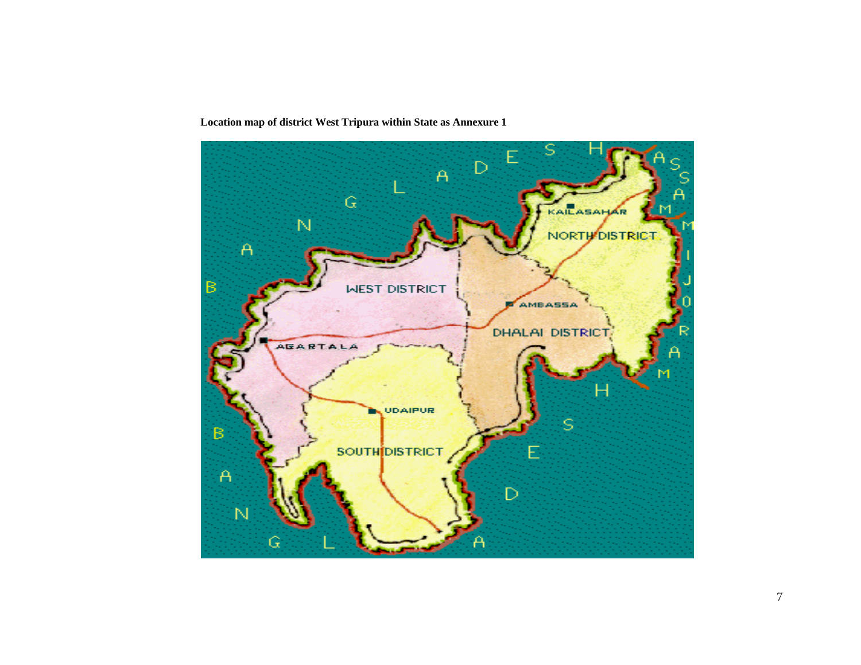**Location map of district West Tripura within State as Annexure 1**

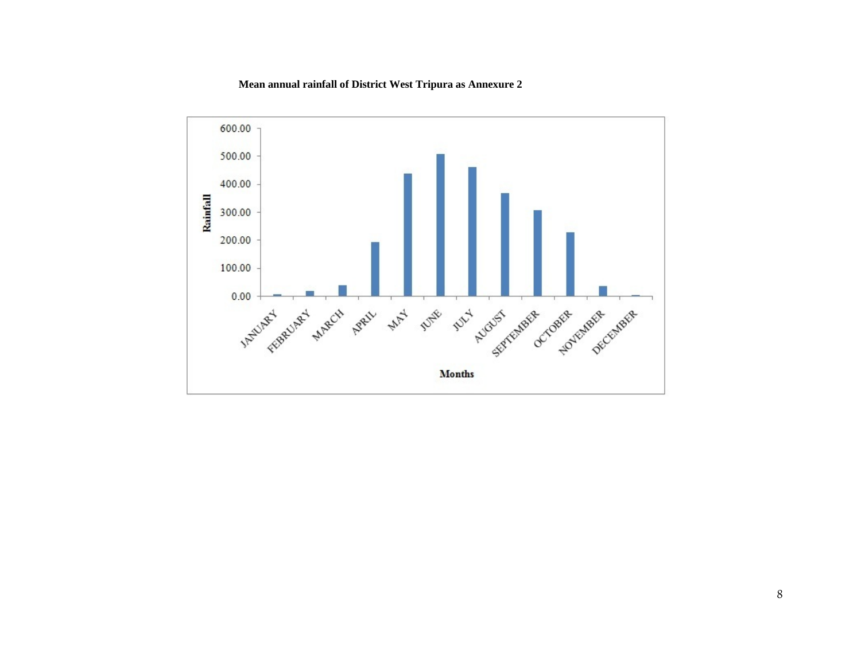#### **Mean annual rainfall of District West Tripura as Annexure 2**

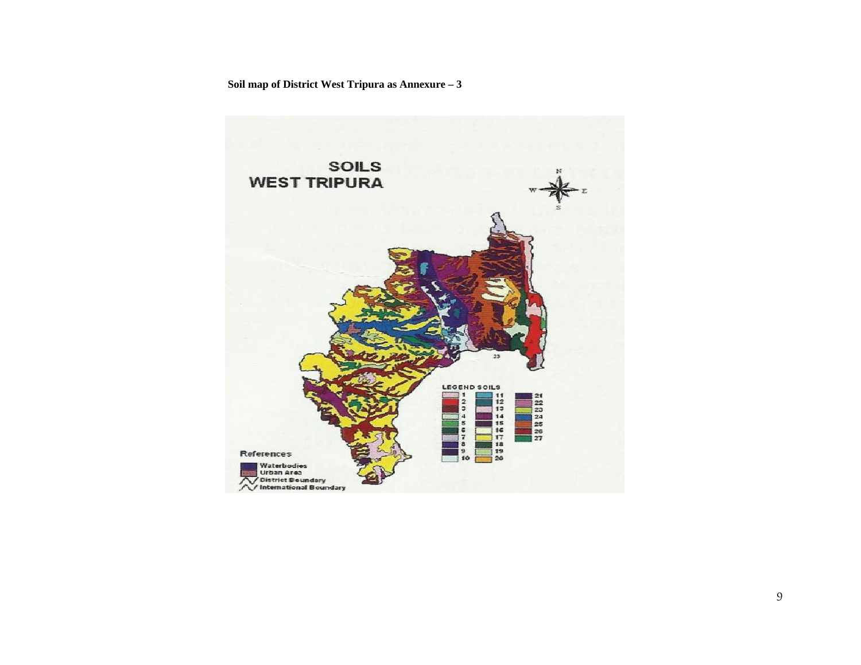**Soil map of District West Tripura as Annexure – 3**

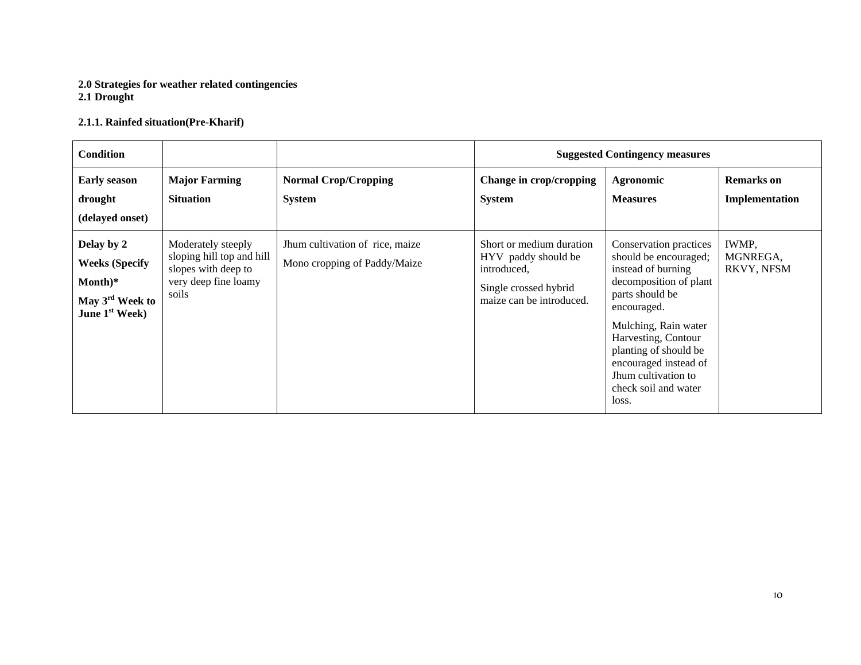#### **2.0 Strategies for weather related contingencies 2.1 Drought**

### **2.1.1. Rainfed situation(Pre-Kharif)**

| <b>Condition</b>                                                                                            |                                                                                                         |                                                                 |                                                                                                                     | <b>Suggested Contingency measures</b>                                                                                                                                                                                                                                                      |                                        |
|-------------------------------------------------------------------------------------------------------------|---------------------------------------------------------------------------------------------------------|-----------------------------------------------------------------|---------------------------------------------------------------------------------------------------------------------|--------------------------------------------------------------------------------------------------------------------------------------------------------------------------------------------------------------------------------------------------------------------------------------------|----------------------------------------|
| <b>Early season</b><br>drought<br>(delayed onset)                                                           | <b>Major Farming</b><br><b>Situation</b>                                                                | <b>Normal Crop/Cropping</b><br><b>System</b>                    | Change in crop/cropping<br><b>System</b>                                                                            | <b>Agronomic</b><br><b>Measures</b>                                                                                                                                                                                                                                                        | <b>Remarks</b> on<br>Implementation    |
| Delay by 2<br><b>Weeks (Specify</b><br>Month)*<br>May 3 <sup>rd</sup> Week to<br>June 1 <sup>st</sup> Week) | Moderately steeply<br>sloping hill top and hill<br>slopes with deep to<br>very deep fine loamy<br>soils | Jhum cultivation of rice, maize<br>Mono cropping of Paddy/Maize | Short or medium duration<br>HYV paddy should be<br>introduced,<br>Single crossed hybrid<br>maize can be introduced. | Conservation practices<br>should be encouraged;<br>instead of burning<br>decomposition of plant<br>parts should be<br>encouraged.<br>Mulching, Rain water<br>Harvesting, Contour<br>planting of should be<br>encouraged instead of<br>Jhum cultivation to<br>check soil and water<br>loss. | <b>IWMP,</b><br>MGNREGA,<br>RKVY, NFSM |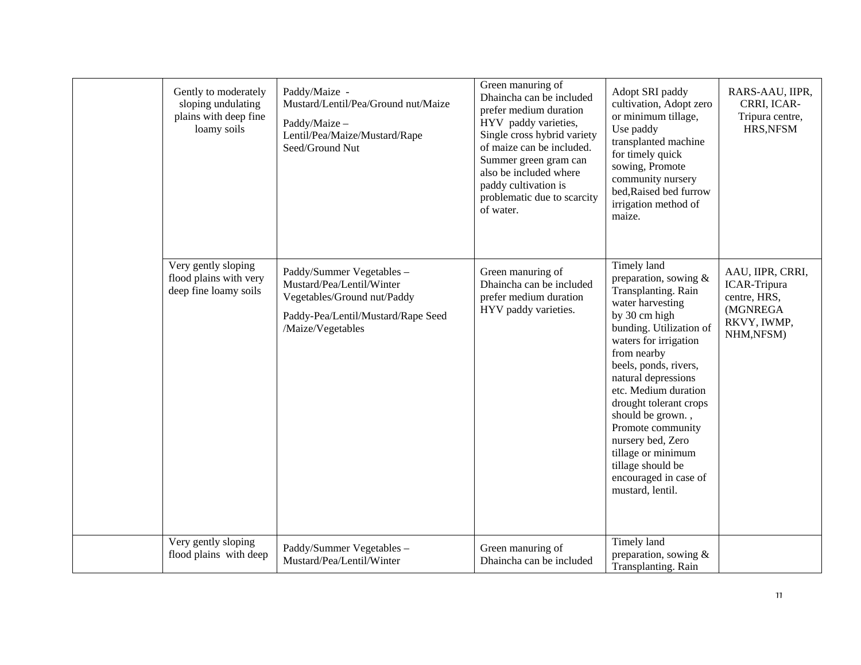| Gently to moderately<br>sloping undulating<br>plains with deep fine<br>loamy soils | Paddy/Maize -<br>Mustard/Lentil/Pea/Ground nut/Maize<br>Paddy/Maize -<br>Lentil/Pea/Maize/Mustard/Rape<br>Seed/Ground Nut                        | Green manuring of<br>Dhaincha can be included<br>prefer medium duration<br>HYV paddy varieties,<br>Single cross hybrid variety<br>of maize can be included.<br>Summer green gram can<br>also be included where<br>paddy cultivation is<br>problematic due to scarcity<br>of water. | Adopt SRI paddy<br>cultivation, Adopt zero<br>or minimum tillage,<br>Use paddy<br>transplanted machine<br>for timely quick<br>sowing, Promote<br>community nursery<br>bed, Raised bed furrow<br>irrigation method of<br>maize.                                                                                                                                                                                                 | RARS-AAU, IIPR,<br>CRRI, ICAR-<br>Tripura centre,<br>HRS, NFSM                                  |
|------------------------------------------------------------------------------------|--------------------------------------------------------------------------------------------------------------------------------------------------|------------------------------------------------------------------------------------------------------------------------------------------------------------------------------------------------------------------------------------------------------------------------------------|--------------------------------------------------------------------------------------------------------------------------------------------------------------------------------------------------------------------------------------------------------------------------------------------------------------------------------------------------------------------------------------------------------------------------------|-------------------------------------------------------------------------------------------------|
| Very gently sloping<br>flood plains with very<br>deep fine loamy soils             | Paddy/Summer Vegetables -<br>Mustard/Pea/Lentil/Winter<br>Vegetables/Ground nut/Paddy<br>Paddy-Pea/Lentil/Mustard/Rape Seed<br>/Maize/Vegetables | Green manuring of<br>Dhaincha can be included<br>prefer medium duration<br>HYV paddy varieties.                                                                                                                                                                                    | Timely land<br>preparation, sowing $&$<br>Transplanting. Rain<br>water harvesting<br>by 30 cm high<br>bunding. Utilization of<br>waters for irrigation<br>from nearby<br>beels, ponds, rivers,<br>natural depressions<br>etc. Medium duration<br>drought tolerant crops<br>should be grown.,<br>Promote community<br>nursery bed, Zero<br>tillage or minimum<br>tillage should be<br>encouraged in case of<br>mustard, lentil. | AAU, IIPR, CRRI,<br><b>ICAR-Tripura</b><br>centre, HRS,<br>(MGNREGA<br>RKVY, IWMP,<br>NHM,NFSM) |
| Very gently sloping<br>flood plains with deep                                      | Paddy/Summer Vegetables -<br>Mustard/Pea/Lentil/Winter                                                                                           | Green manuring of<br>Dhaincha can be included                                                                                                                                                                                                                                      | Timely land<br>preparation, sowing &<br>Transplanting. Rain                                                                                                                                                                                                                                                                                                                                                                    |                                                                                                 |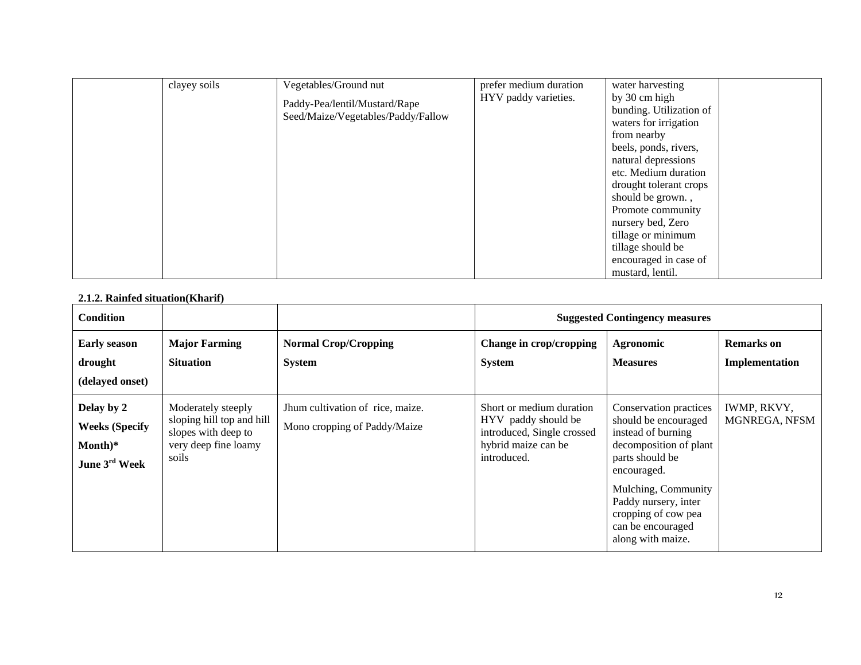| clayey soils | Vegetables/Ground nut<br>Paddy-Pea/lentil/Mustard/Rape<br>Seed/Maize/Vegetables/Paddy/Fallow | prefer medium duration<br>HYV paddy varieties. | water harvesting<br>by 30 cm high<br>bunding. Utilization of<br>waters for irrigation<br>from nearby<br>beels, ponds, rivers,<br>natural depressions<br>etc. Medium duration<br>drought tolerant crops<br>should be grown.,<br>Promote community<br>nursery bed, Zero<br>tillage or minimum<br>tillage should be<br>encouraged in case of<br>mustard, lentil. |
|--------------|----------------------------------------------------------------------------------------------|------------------------------------------------|---------------------------------------------------------------------------------------------------------------------------------------------------------------------------------------------------------------------------------------------------------------------------------------------------------------------------------------------------------------|
|--------------|----------------------------------------------------------------------------------------------|------------------------------------------------|---------------------------------------------------------------------------------------------------------------------------------------------------------------------------------------------------------------------------------------------------------------------------------------------------------------------------------------------------------------|

#### **2.1.2. Rainfed situation(Kharif)**

| <b>Condition</b>                                                              |                                                                                                         |                                                                  | <b>Suggested Contingency measures</b>                                                                               |                                                                                                                                                                                                                                                  |                                     |  |
|-------------------------------------------------------------------------------|---------------------------------------------------------------------------------------------------------|------------------------------------------------------------------|---------------------------------------------------------------------------------------------------------------------|--------------------------------------------------------------------------------------------------------------------------------------------------------------------------------------------------------------------------------------------------|-------------------------------------|--|
| <b>Early season</b><br>drought<br>(delayed onset)                             | <b>Major Farming</b><br><b>Situation</b>                                                                | <b>Normal Crop/Cropping</b><br><b>System</b>                     | Change in crop/cropping<br><b>System</b>                                                                            | Agronomic<br><b>Measures</b>                                                                                                                                                                                                                     | <b>Remarks</b> on<br>Implementation |  |
| Delay by 2<br><b>Weeks (Specify</b><br>$Month)*$<br>June 3 <sup>rd</sup> Week | Moderately steeply<br>sloping hill top and hill<br>slopes with deep to<br>very deep fine loamy<br>soils | Jhum cultivation of rice, maize.<br>Mono cropping of Paddy/Maize | Short or medium duration<br>HYV paddy should be<br>introduced, Single crossed<br>hybrid maize can be<br>introduced. | Conservation practices<br>should be encouraged<br>instead of burning<br>decomposition of plant<br>parts should be<br>encouraged.<br>Mulching, Community<br>Paddy nursery, inter<br>cropping of cow pea<br>can be encouraged<br>along with maize. | IWMP, RKVY,<br>MGNREGA, NFSM        |  |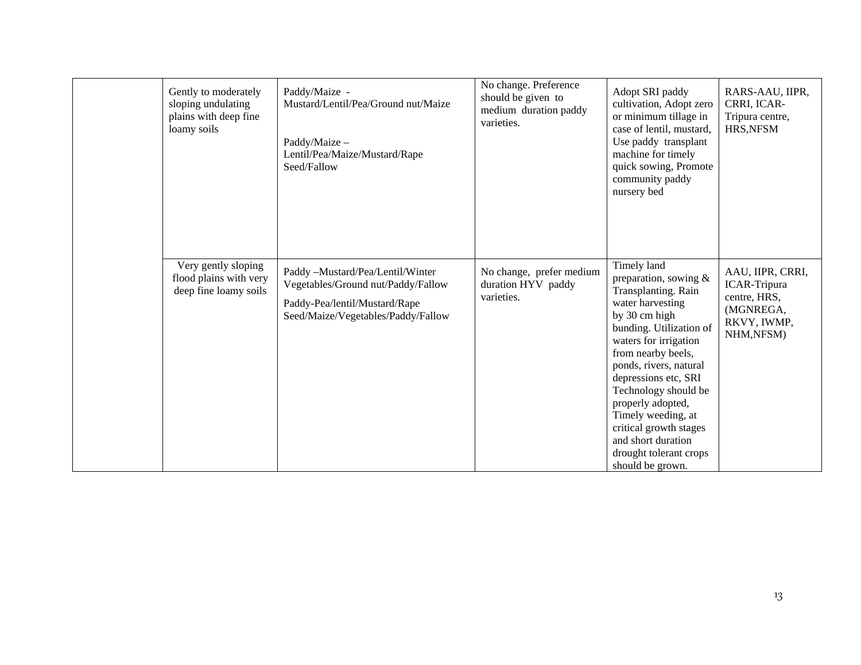| Gently to moderately<br>sloping undulating<br>plains with deep fine<br>loamy soils | Paddy/Maize -<br>Mustard/Lentil/Pea/Ground nut/Maize<br>Paddy/Maize -<br>Lentil/Pea/Maize/Mustard/Rape<br>Seed/Fallow                         | No change. Preference<br>should be given to<br>medium duration paddy<br>varieties. | Adopt SRI paddy<br>cultivation, Adopt zero<br>or minimum tillage in<br>case of lentil, mustard,<br>Use paddy transplant<br>machine for timely<br>quick sowing, Promote<br>community paddy<br>nursery bed                                                                                                                                                                                        | RARS-AAU, IIPR,<br>CRRI, ICAR-<br>Tripura centre,<br>HRS, NFSM                            |
|------------------------------------------------------------------------------------|-----------------------------------------------------------------------------------------------------------------------------------------------|------------------------------------------------------------------------------------|-------------------------------------------------------------------------------------------------------------------------------------------------------------------------------------------------------------------------------------------------------------------------------------------------------------------------------------------------------------------------------------------------|-------------------------------------------------------------------------------------------|
| Very gently sloping<br>flood plains with very<br>deep fine loamy soils             | Paddy -Mustard/Pea/Lentil/Winter<br>Vegetables/Ground nut/Paddy/Fallow<br>Paddy-Pea/lentil/Mustard/Rape<br>Seed/Maize/Vegetables/Paddy/Fallow | No change, prefer medium<br>duration HYV paddy<br>varieties.                       | Timely land<br>preparation, sowing $&$<br>Transplanting. Rain<br>water harvesting<br>by 30 cm high<br>bunding. Utilization of<br>waters for irrigation<br>from nearby beels,<br>ponds, rivers, natural<br>depressions etc, SRI<br>Technology should be<br>properly adopted,<br>Timely weeding, at<br>critical growth stages<br>and short duration<br>drought tolerant crops<br>should be grown. | AAU, IIPR, CRRI,<br>ICAR-Tripura<br>centre, HRS,<br>(MGNREGA,<br>RKVY, IWMP,<br>NHM,NFSM) |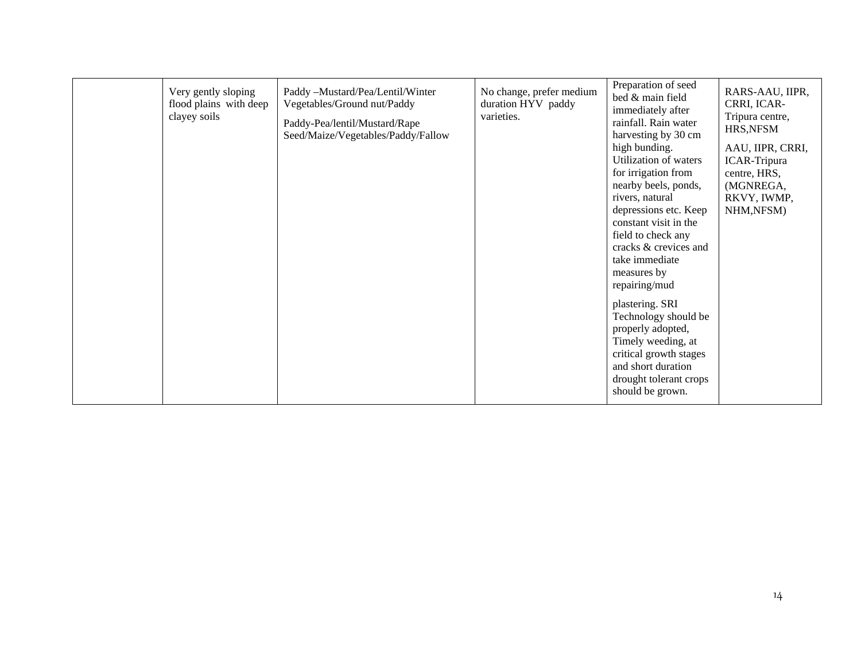| clayey soils | Very gently sloping<br>flood plains with deep | Paddy -Mustard/Pea/Lentil/Winter<br>Vegetables/Ground nut/Paddy<br>Paddy-Pea/lentil/Mustard/Rape<br>Seed/Maize/Vegetables/Paddy/Fallow | No change, prefer medium<br>duration HYV paddy<br>varieties. | Preparation of seed<br>bed & main field<br>immediately after<br>rainfall. Rain water<br>harvesting by 30 cm<br>high bunding.<br>Utilization of waters<br>for irrigation from<br>nearby beels, ponds,<br>rivers, natural<br>depressions etc. Keep<br>constant visit in the<br>field to check any<br>cracks & crevices and<br>take immediate<br>measures by<br>repairing/mud<br>plastering. SRI<br>Technology should be<br>properly adopted,<br>Timely weeding, at<br>critical growth stages<br>and short duration<br>drought tolerant crops<br>should be grown. | RARS-AAU, IIPR,<br>CRRI, ICAR-<br>Tripura centre,<br>HRS, NFSM<br>AAU, IIPR, CRRI,<br><b>ICAR-Tripura</b><br>centre, HRS,<br>(MGNREGA,<br>RKVY, IWMP,<br>NHM, NFSM) |
|--------------|-----------------------------------------------|----------------------------------------------------------------------------------------------------------------------------------------|--------------------------------------------------------------|----------------------------------------------------------------------------------------------------------------------------------------------------------------------------------------------------------------------------------------------------------------------------------------------------------------------------------------------------------------------------------------------------------------------------------------------------------------------------------------------------------------------------------------------------------------|---------------------------------------------------------------------------------------------------------------------------------------------------------------------|
|--------------|-----------------------------------------------|----------------------------------------------------------------------------------------------------------------------------------------|--------------------------------------------------------------|----------------------------------------------------------------------------------------------------------------------------------------------------------------------------------------------------------------------------------------------------------------------------------------------------------------------------------------------------------------------------------------------------------------------------------------------------------------------------------------------------------------------------------------------------------------|---------------------------------------------------------------------------------------------------------------------------------------------------------------------|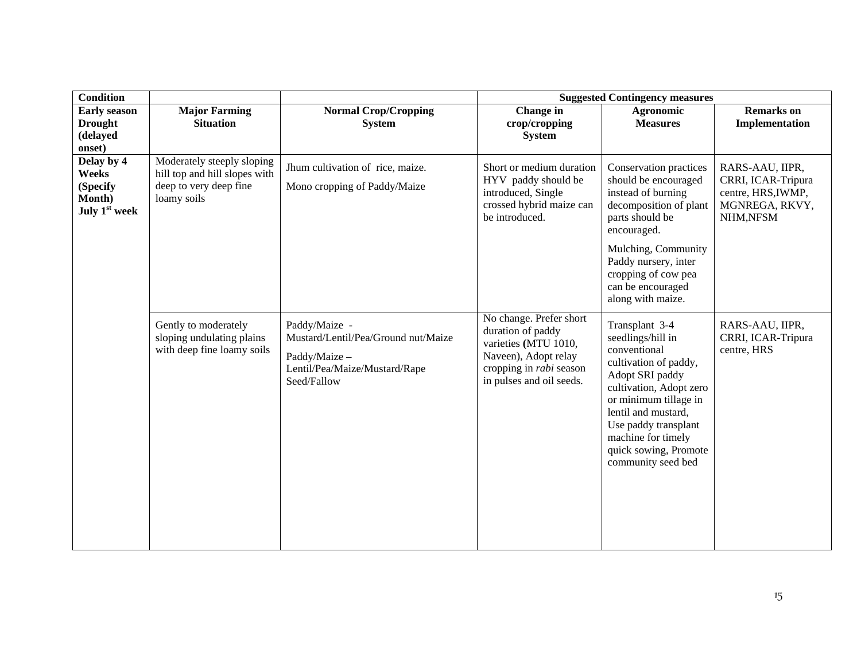| <b>Condition</b>                                             |                                                                                                      |                                                                                                                       | <b>Suggested Contingency measures</b>                                                                                                                      |                                                                                                                                                                                                                                                                         |                                                                                           |  |
|--------------------------------------------------------------|------------------------------------------------------------------------------------------------------|-----------------------------------------------------------------------------------------------------------------------|------------------------------------------------------------------------------------------------------------------------------------------------------------|-------------------------------------------------------------------------------------------------------------------------------------------------------------------------------------------------------------------------------------------------------------------------|-------------------------------------------------------------------------------------------|--|
| <b>Early season</b><br><b>Drought</b><br>(delayed<br>onset)  | <b>Major Farming</b><br><b>Situation</b>                                                             | <b>Normal Crop/Cropping</b><br><b>System</b>                                                                          | Change in<br>crop/cropping<br><b>System</b>                                                                                                                | <b>Agronomic</b><br><b>Measures</b>                                                                                                                                                                                                                                     | <b>Remarks</b> on<br>Implementation                                                       |  |
| Delay by 4<br>Weeks<br>(Specify<br>Month)<br>July $1st$ week | Moderately steeply sloping<br>hill top and hill slopes with<br>deep to very deep fine<br>loamy soils | Jhum cultivation of rice, maize.<br>Mono cropping of Paddy/Maize                                                      | Short or medium duration<br>HYV paddy should be<br>introduced, Single<br>crossed hybrid maize can<br>be introduced.                                        | Conservation practices<br>should be encouraged<br>instead of burning<br>decomposition of plant<br>parts should be<br>encouraged.<br>Mulching, Community<br>Paddy nursery, inter<br>cropping of cow pea<br>can be encouraged<br>along with maize.                        | RARS-AAU, IIPR,<br>CRRI, ICAR-Tripura<br>centre, HRS, IWMP,<br>MGNREGA, RKVY,<br>NHM,NFSM |  |
|                                                              | Gently to moderately<br>sloping undulating plains<br>with deep fine loamy soils                      | Paddy/Maize -<br>Mustard/Lentil/Pea/Ground nut/Maize<br>Paddy/Maize -<br>Lentil/Pea/Maize/Mustard/Rape<br>Seed/Fallow | No change. Prefer short<br>duration of paddy<br>varieties (MTU 1010,<br>Naveen), Adopt relay<br>cropping in <i>rabi</i> season<br>in pulses and oil seeds. | Transplant 3-4<br>seedlings/hill in<br>conventional<br>cultivation of paddy,<br>Adopt SRI paddy<br>cultivation, Adopt zero<br>or minimum tillage in<br>lentil and mustard,<br>Use paddy transplant<br>machine for timely<br>quick sowing, Promote<br>community seed bed | RARS-AAU, IIPR,<br>CRRI, ICAR-Tripura<br>centre, HRS                                      |  |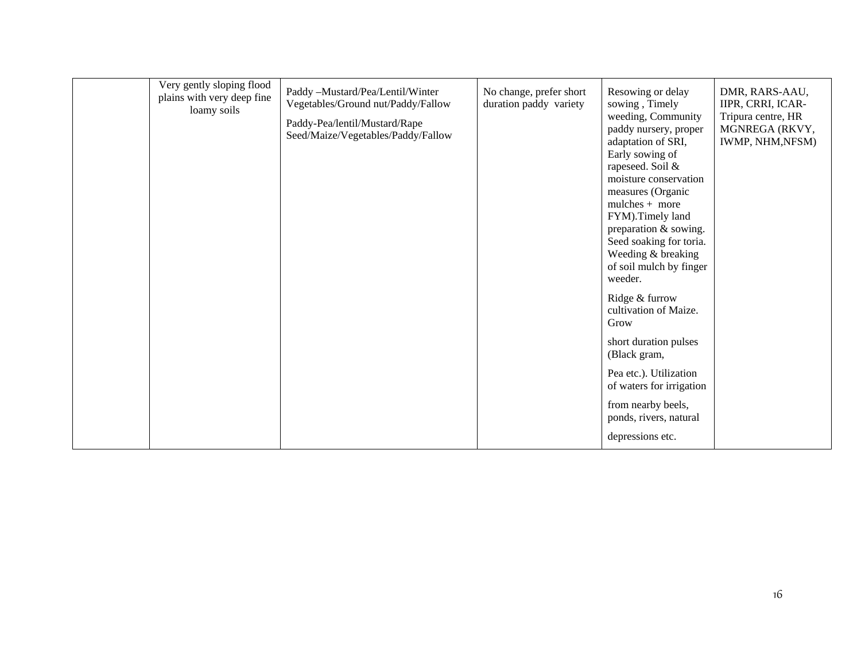| Very gently sloping flood<br>plains with very deep fine<br>loamy soils | Paddy -Mustard/Pea/Lentil/Winter<br>Vegetables/Ground nut/Paddy/Fallow<br>Paddy-Pea/lentil/Mustard/Rape<br>Seed/Maize/Vegetables/Paddy/Fallow | No change, prefer short<br>duration paddy variety | Resowing or delay<br>sowing, Timely<br>weeding, Community<br>paddy nursery, proper<br>adaptation of SRI,<br>Early sowing of<br>rapeseed. Soil &<br>moisture conservation<br>measures (Organic<br>$mulches + more$<br>FYM). Timely land<br>preparation & sowing.<br>Seed soaking for toria.<br>Weeding & breaking<br>of soil mulch by finger<br>weeder.<br>Ridge & furrow<br>cultivation of Maize.<br>Grow<br>short duration pulses<br>(Black gram,<br>Pea etc.). Utilization<br>of waters for irrigation<br>from nearby beels,<br>ponds, rivers, natural | DMR, RARS-AAU,<br>IIPR, CRRI, ICAR-<br>Tripura centre, HR<br>MGNREGA (RKVY,<br>IWMP, NHM, NFSM) |
|------------------------------------------------------------------------|-----------------------------------------------------------------------------------------------------------------------------------------------|---------------------------------------------------|----------------------------------------------------------------------------------------------------------------------------------------------------------------------------------------------------------------------------------------------------------------------------------------------------------------------------------------------------------------------------------------------------------------------------------------------------------------------------------------------------------------------------------------------------------|-------------------------------------------------------------------------------------------------|
|                                                                        |                                                                                                                                               |                                                   | depressions etc.                                                                                                                                                                                                                                                                                                                                                                                                                                                                                                                                         |                                                                                                 |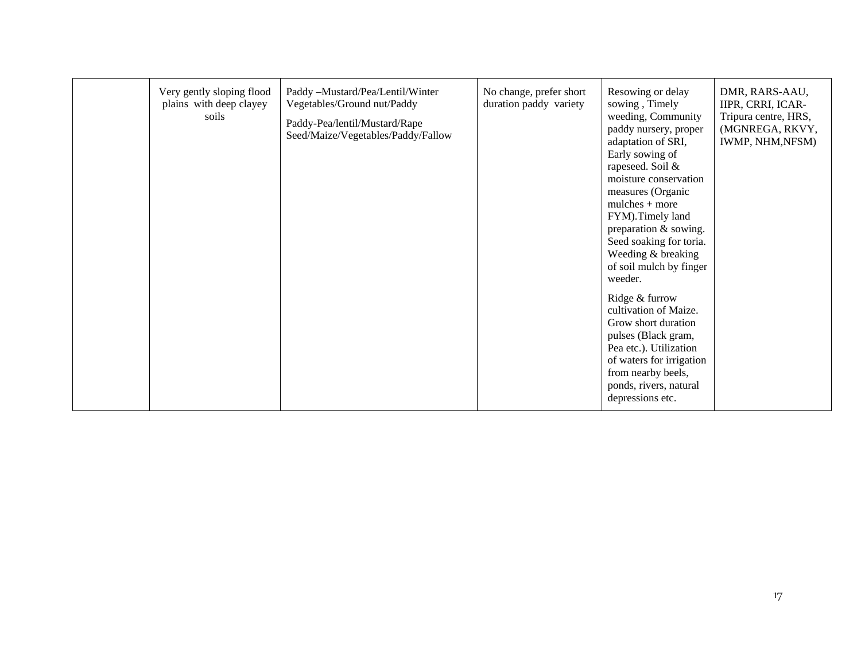| Very gently sloping flood<br>plains with deep clayey<br>soils | Paddy -Mustard/Pea/Lentil/Winter<br>Vegetables/Ground nut/Paddy<br>Paddy-Pea/lentil/Mustard/Rape<br>Seed/Maize/Vegetables/Paddy/Fallow | No change, prefer short<br>duration paddy variety | Resowing or delay<br>sowing, Timely<br>weeding, Community<br>paddy nursery, proper<br>adaptation of SRI,<br>Early sowing of<br>rapeseed. Soil &<br>moisture conservation<br>measures (Organic<br>$mulches + more$<br>FYM).Timely land<br>preparation & sowing.<br>Seed soaking for toria.<br>Weeding & breaking<br>of soil mulch by finger<br>weeder.<br>Ridge & furrow<br>cultivation of Maize.<br>Grow short duration<br>pulses (Black gram,<br>Pea etc.). Utilization<br>of waters for irrigation<br>from nearby beels,<br>ponds, rivers, natural<br>depressions etc. | DMR, RARS-AAU,<br>IIPR, CRRI, ICAR-<br>Tripura centre, HRS,<br>(MGNREGA, RKVY,<br>IWMP, NHM, NFSM) |
|---------------------------------------------------------------|----------------------------------------------------------------------------------------------------------------------------------------|---------------------------------------------------|--------------------------------------------------------------------------------------------------------------------------------------------------------------------------------------------------------------------------------------------------------------------------------------------------------------------------------------------------------------------------------------------------------------------------------------------------------------------------------------------------------------------------------------------------------------------------|----------------------------------------------------------------------------------------------------|
|---------------------------------------------------------------|----------------------------------------------------------------------------------------------------------------------------------------|---------------------------------------------------|--------------------------------------------------------------------------------------------------------------------------------------------------------------------------------------------------------------------------------------------------------------------------------------------------------------------------------------------------------------------------------------------------------------------------------------------------------------------------------------------------------------------------------------------------------------------------|----------------------------------------------------------------------------------------------------|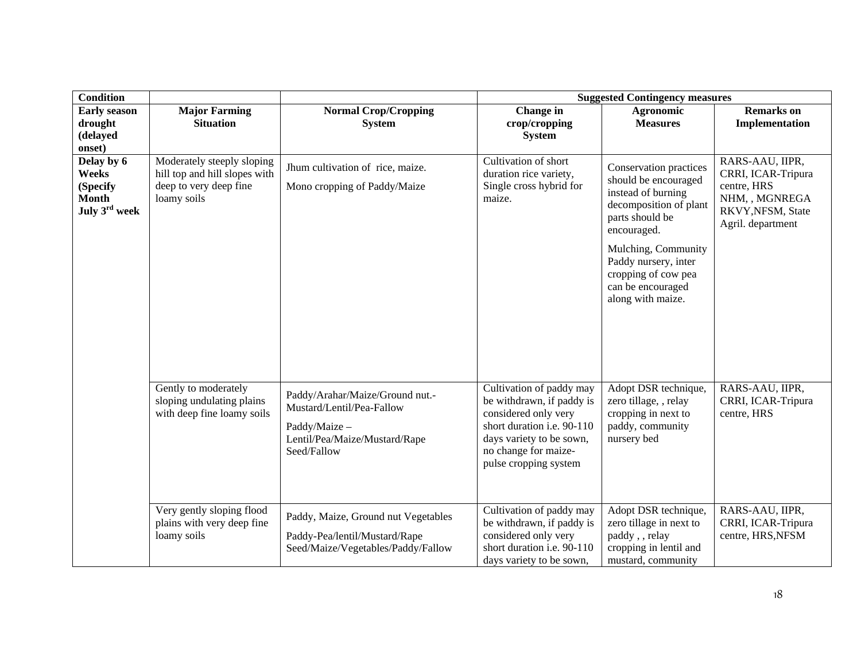| <b>Condition</b>                                                 |                                                                                                      |                                                                                                                               | <b>Suggested Contingency measures</b>                                                                                                                                                    |                                                                                                                                                                                                                                                  |                                                                                                                  |  |
|------------------------------------------------------------------|------------------------------------------------------------------------------------------------------|-------------------------------------------------------------------------------------------------------------------------------|------------------------------------------------------------------------------------------------------------------------------------------------------------------------------------------|--------------------------------------------------------------------------------------------------------------------------------------------------------------------------------------------------------------------------------------------------|------------------------------------------------------------------------------------------------------------------|--|
| <b>Early season</b><br>drought                                   | <b>Major Farming</b><br><b>Situation</b>                                                             | <b>Normal Crop/Cropping</b><br><b>System</b>                                                                                  | Change in<br>crop/cropping                                                                                                                                                               | <b>Agronomic</b><br><b>Measures</b>                                                                                                                                                                                                              | <b>Remarks</b> on<br>Implementation                                                                              |  |
| (delayed<br>onset)                                               |                                                                                                      |                                                                                                                               | <b>System</b>                                                                                                                                                                            |                                                                                                                                                                                                                                                  |                                                                                                                  |  |
| Delay by 6<br>Weeks<br>(Specify<br><b>Month</b><br>July 3rd week | Moderately steeply sloping<br>hill top and hill slopes with<br>deep to very deep fine<br>loamy soils | Jhum cultivation of rice, maize.<br>Mono cropping of Paddy/Maize                                                              | Cultivation of short<br>duration rice variety,<br>Single cross hybrid for<br>maize.                                                                                                      | Conservation practices<br>should be encouraged<br>instead of burning<br>decomposition of plant<br>parts should be<br>encouraged.<br>Mulching, Community<br>Paddy nursery, inter<br>cropping of cow pea<br>can be encouraged<br>along with maize. | RARS-AAU, IIPR,<br>CRRI, ICAR-Tripura<br>centre, HRS<br>NHM, , MGNREGA<br>RKVY, NFSM, State<br>Agril. department |  |
|                                                                  | Gently to moderately<br>sloping undulating plains<br>with deep fine loamy soils                      | Paddy/Arahar/Maize/Ground nut.-<br>Mustard/Lentil/Pea-Fallow<br>Paddy/Maize -<br>Lentil/Pea/Maize/Mustard/Rape<br>Seed/Fallow | Cultivation of paddy may<br>be withdrawn, if paddy is<br>considered only very<br>short duration i.e. 90-110<br>days variety to be sown,<br>no change for maize-<br>pulse cropping system | Adopt DSR technique,<br>zero tillage, , relay<br>cropping in next to<br>paddy, community<br>nursery bed                                                                                                                                          | RARS-AAU, IIPR,<br>CRRI, ICAR-Tripura<br>centre, HRS                                                             |  |
|                                                                  | Very gently sloping flood<br>plains with very deep fine<br>loamy soils                               | Paddy, Maize, Ground nut Vegetables<br>Paddy-Pea/lentil/Mustard/Rape<br>Seed/Maize/Vegetables/Paddy/Fallow                    | Cultivation of paddy may<br>be withdrawn, if paddy is<br>considered only very<br>short duration i.e. 90-110<br>days variety to be sown,                                                  | Adopt DSR technique,<br>zero tillage in next to<br>paddy, relay<br>cropping in lentil and<br>mustard, community                                                                                                                                  | RARS-AAU, IIPR,<br>CRRI, ICAR-Tripura<br>centre, HRS, NFSM                                                       |  |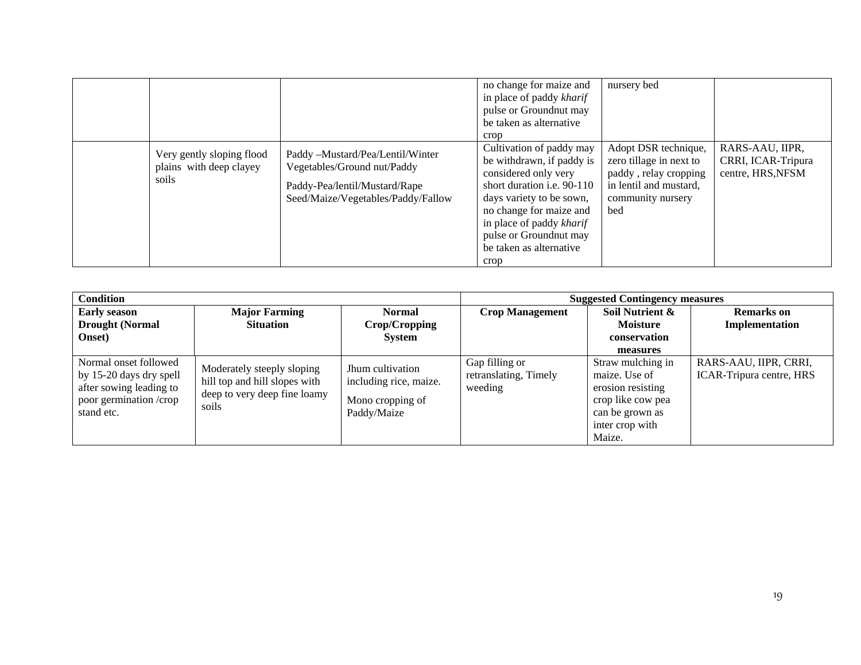|                                                               |                                                                                                                                        | no change for maize and<br>in place of paddy kharif<br>pulse or Groundnut may<br>be taken as alternative<br>crop                                                                                                                                                   | nursery bed                                                                                                                    |                                                            |
|---------------------------------------------------------------|----------------------------------------------------------------------------------------------------------------------------------------|--------------------------------------------------------------------------------------------------------------------------------------------------------------------------------------------------------------------------------------------------------------------|--------------------------------------------------------------------------------------------------------------------------------|------------------------------------------------------------|
| Very gently sloping flood<br>plains with deep clayey<br>soils | Paddy -Mustard/Pea/Lentil/Winter<br>Vegetables/Ground nut/Paddy<br>Paddy-Pea/lentil/Mustard/Rape<br>Seed/Maize/Vegetables/Paddy/Fallow | Cultivation of paddy may<br>be withdrawn, if paddy is<br>considered only very<br>short duration <i>i.e.</i> 90-110<br>days variety to be sown,<br>no change for maize and<br>in place of paddy kharif<br>pulse or Groundnut may<br>be taken as alternative<br>crop | Adopt DSR technique,<br>zero tillage in next to<br>paddy, relay cropping<br>in lentil and mustard,<br>community nursery<br>bed | RARS-AAU, IIPR,<br>CRRI, ICAR-Tripura<br>centre, HRS, NFSM |

| <b>Condition</b>                                                                                                    |                                                                                                      |                                                                               | <b>Suggested Contingency measures</b>              |                                                                                                                              |                                                   |
|---------------------------------------------------------------------------------------------------------------------|------------------------------------------------------------------------------------------------------|-------------------------------------------------------------------------------|----------------------------------------------------|------------------------------------------------------------------------------------------------------------------------------|---------------------------------------------------|
| <b>Early season</b>                                                                                                 | <b>Major Farming</b>                                                                                 | <b>Normal</b>                                                                 | <b>Crop Management</b>                             | Soil Nutrient &                                                                                                              | <b>Remarks</b> on                                 |
| <b>Drought (Normal</b>                                                                                              | <b>Situation</b>                                                                                     | Crop/Cropping                                                                 |                                                    | <b>Moisture</b>                                                                                                              | Implementation                                    |
| <b>Onset</b> )                                                                                                      |                                                                                                      | <b>System</b>                                                                 |                                                    | conservation                                                                                                                 |                                                   |
|                                                                                                                     |                                                                                                      |                                                                               |                                                    | measures                                                                                                                     |                                                   |
| Normal onset followed<br>by 15-20 days dry spell<br>after sowing leading to<br>poor germination /crop<br>stand etc. | Moderately steeply sloping<br>hill top and hill slopes with<br>deep to very deep fine loamy<br>soils | Jhum cultivation<br>including rice, maize.<br>Mono cropping of<br>Paddy/Maize | Gap filling or<br>retranslating, Timely<br>weeding | Straw mulching in<br>maize. Use of<br>erosion resisting<br>crop like cow pea<br>can be grown as<br>inter crop with<br>Maize. | RARS-AAU, IIPR, CRRI,<br>ICAR-Tripura centre, HRS |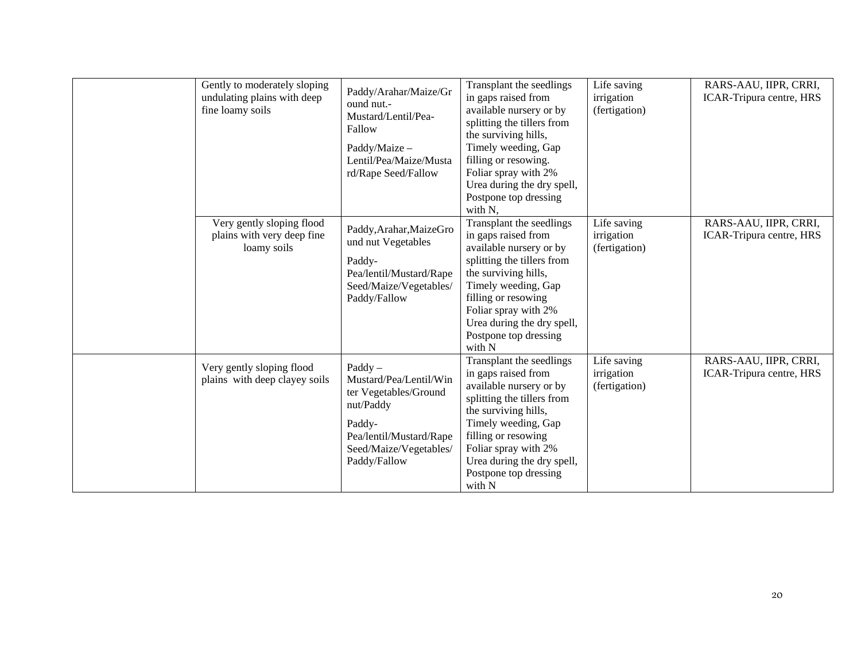| Gently to moderately sloping<br>undulating plains with deep<br>fine loamy soils | Paddy/Arahar/Maize/Gr<br>ound nut.-<br>Mustard/Lentil/Pea-<br>Fallow<br>Paddy/Maize -<br>Lentil/Pea/Maize/Musta<br>rd/Rape Seed/Fallow                   | Transplant the seedlings<br>in gaps raised from<br>available nursery or by<br>splitting the tillers from<br>the surviving hills,<br>Timely weeding, Gap<br>filling or resowing.<br>Foliar spray with 2%<br>Urea during the dry spell,<br>Postpone top dressing<br>with N, | Life saving<br>irrigation<br>(fertigation) | RARS-AAU, IIPR, CRRI,<br>ICAR-Tripura centre, HRS |
|---------------------------------------------------------------------------------|----------------------------------------------------------------------------------------------------------------------------------------------------------|---------------------------------------------------------------------------------------------------------------------------------------------------------------------------------------------------------------------------------------------------------------------------|--------------------------------------------|---------------------------------------------------|
| Very gently sloping flood<br>plains with very deep fine<br>loamy soils          | Paddy, Arahar, MaizeGro<br>und nut Vegetables<br>Paddy-<br>Pea/lentil/Mustard/Rape<br>Seed/Maize/Vegetables/<br>Paddy/Fallow                             | Transplant the seedlings<br>in gaps raised from<br>available nursery or by<br>splitting the tillers from<br>the surviving hills,<br>Timely weeding, Gap<br>filling or resowing<br>Foliar spray with 2%<br>Urea during the dry spell,<br>Postpone top dressing<br>with N   | Life saving<br>irrigation<br>(fertigation) | RARS-AAU, IIPR, CRRI,<br>ICAR-Tripura centre, HRS |
| Very gently sloping flood<br>plains with deep clayey soils                      | $Paddy -$<br>Mustard/Pea/Lentil/Win<br>ter Vegetables/Ground<br>nut/Paddy<br>Paddy-<br>Pea/lentil/Mustard/Rape<br>Seed/Maize/Vegetables/<br>Paddy/Fallow | Transplant the seedlings<br>in gaps raised from<br>available nursery or by<br>splitting the tillers from<br>the surviving hills,<br>Timely weeding, Gap<br>filling or resowing<br>Foliar spray with 2%<br>Urea during the dry spell,<br>Postpone top dressing<br>with N   | Life saving<br>irrigation<br>(fertigation) | RARS-AAU, IIPR, CRRI,<br>ICAR-Tripura centre, HRS |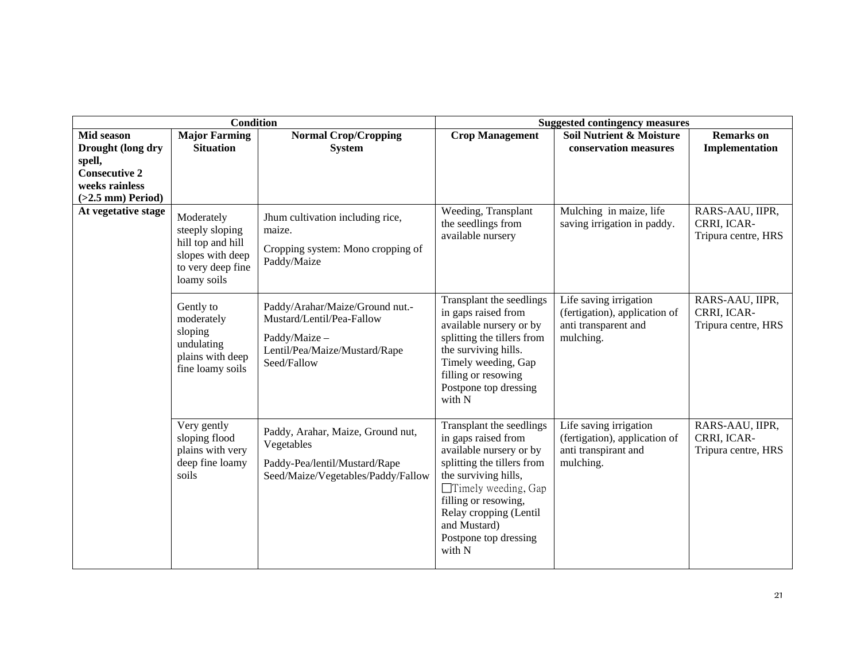|                                                                         | Condition                                                                                                  |                                                                                                                               |                                                                                                                                                                                                                                                                     | <b>Suggested contingency measures</b>                                                        |                                                       |
|-------------------------------------------------------------------------|------------------------------------------------------------------------------------------------------------|-------------------------------------------------------------------------------------------------------------------------------|---------------------------------------------------------------------------------------------------------------------------------------------------------------------------------------------------------------------------------------------------------------------|----------------------------------------------------------------------------------------------|-------------------------------------------------------|
| Mid season                                                              | <b>Major Farming</b>                                                                                       | <b>Normal Crop/Cropping</b>                                                                                                   | <b>Crop Management</b>                                                                                                                                                                                                                                              | Soil Nutrient & Moisture                                                                     | <b>Remarks</b> on                                     |
| Drought (long dry                                                       | <b>Situation</b>                                                                                           | <b>System</b>                                                                                                                 |                                                                                                                                                                                                                                                                     | conservation measures                                                                        | Implementation                                        |
| spell,<br><b>Consecutive 2</b><br>weeks rainless<br>$(>2.5$ mm) Period) |                                                                                                            |                                                                                                                               |                                                                                                                                                                                                                                                                     |                                                                                              |                                                       |
| At vegetative stage                                                     | Moderately<br>steeply sloping<br>hill top and hill<br>slopes with deep<br>to very deep fine<br>loamy soils | Jhum cultivation including rice,<br>maize.<br>Cropping system: Mono cropping of<br>Paddy/Maize                                | Weeding, Transplant<br>the seedlings from<br>available nursery                                                                                                                                                                                                      | Mulching in maize, life<br>saving irrigation in paddy.                                       | RARS-AAU, IIPR,<br>CRRI, ICAR-<br>Tripura centre, HRS |
|                                                                         | Gently to<br>moderately<br>sloping<br>undulating<br>plains with deep<br>fine loamy soils                   | Paddy/Arahar/Maize/Ground nut.-<br>Mustard/Lentil/Pea-Fallow<br>Paddy/Maize -<br>Lentil/Pea/Maize/Mustard/Rape<br>Seed/Fallow | Transplant the seedlings<br>in gaps raised from<br>available nursery or by<br>splitting the tillers from<br>the surviving hills.<br>Timely weeding, Gap<br>filling or resowing<br>Postpone top dressing<br>with N                                                   | Life saving irrigation<br>(fertigation), application of<br>anti transparent and<br>mulching. | RARS-AAU, IIPR,<br>CRRI, ICAR-<br>Tripura centre, HRS |
|                                                                         | Very gently<br>sloping flood<br>plains with very<br>deep fine loamy<br>soils                               | Paddy, Arahar, Maize, Ground nut,<br>Vegetables<br>Paddy-Pea/lentil/Mustard/Rape<br>Seed/Maize/Vegetables/Paddy/Fallow        | Transplant the seedlings<br>in gaps raised from<br>available nursery or by<br>splitting the tillers from<br>the surviving hills,<br>$\Box$ Timely weeding, Gap<br>filling or resowing,<br>Relay cropping (Lentil<br>and Mustard)<br>Postpone top dressing<br>with N | Life saving irrigation<br>(fertigation), application of<br>anti transpirant and<br>mulching. | RARS-AAU, IIPR,<br>CRRI, ICAR-<br>Tripura centre, HRS |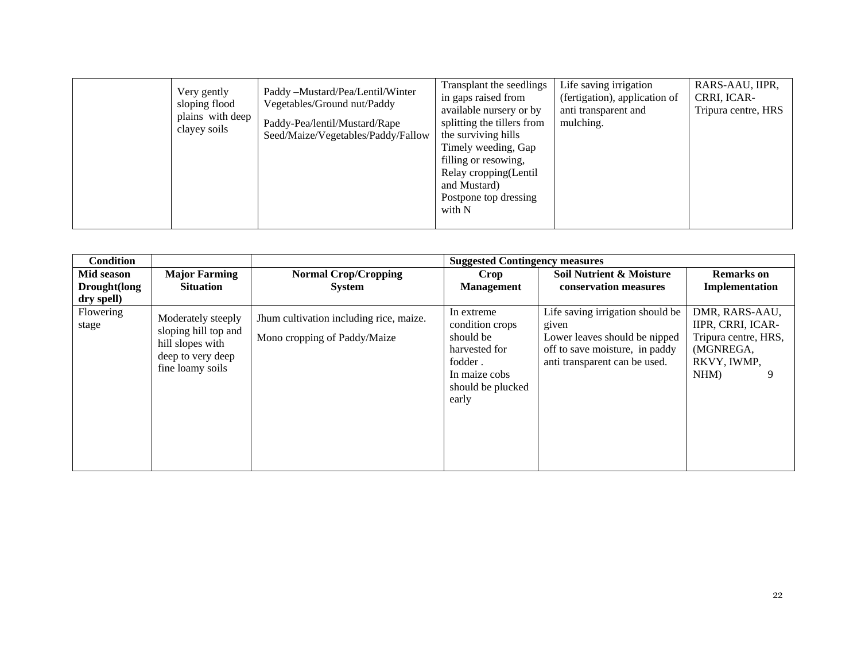|  | Very gently<br>sloping flood<br>plains with deep<br>clayey soils | Paddy -Mustard/Pea/Lentil/Winter<br>Vegetables/Ground nut/Paddy<br>Paddy-Pea/lentil/Mustard/Rape<br>Seed/Maize/Vegetables/Paddy/Fallow | Transplant the seedlings<br>in gaps raised from<br>available nursery or by<br>splitting the tillers from<br>the surviving hills<br>Timely weeding, Gap<br>filling or resowing,<br>Relay cropping(Lentil<br>and Mustard)<br>Postpone top dressing<br>with N | Life saving irrigation<br>(fertigation), application of<br>anti transparent and<br>mulching. | RARS-AAU, IIPR,<br>CRRI, ICAR-<br>Tripura centre, HRS |
|--|------------------------------------------------------------------|----------------------------------------------------------------------------------------------------------------------------------------|------------------------------------------------------------------------------------------------------------------------------------------------------------------------------------------------------------------------------------------------------------|----------------------------------------------------------------------------------------------|-------------------------------------------------------|
|--|------------------------------------------------------------------|----------------------------------------------------------------------------------------------------------------------------------------|------------------------------------------------------------------------------------------------------------------------------------------------------------------------------------------------------------------------------------------------------------|----------------------------------------------------------------------------------------------|-------------------------------------------------------|

| <b>Condition</b>                         |                                                                                                         |                                                                         | <b>Suggested Contingency measures</b>                                                                                 |                                                                                                                                               |                                                                                                     |
|------------------------------------------|---------------------------------------------------------------------------------------------------------|-------------------------------------------------------------------------|-----------------------------------------------------------------------------------------------------------------------|-----------------------------------------------------------------------------------------------------------------------------------------------|-----------------------------------------------------------------------------------------------------|
| Mid season<br>Drought(long<br>dry spell) | <b>Major Farming</b><br><b>Situation</b>                                                                | <b>Normal Crop/Cropping</b><br><b>System</b>                            | Crop<br><b>Management</b>                                                                                             | <b>Soil Nutrient &amp; Moisture</b><br>conservation measures                                                                                  | <b>Remarks</b> on<br>Implementation                                                                 |
| <b>Flowering</b><br>stage                | Moderately steeply<br>sloping hill top and<br>hill slopes with<br>deep to very deep<br>fine loamy soils | Jhum cultivation including rice, maize.<br>Mono cropping of Paddy/Maize | In extreme<br>condition crops<br>should be<br>harvested for<br>fodder.<br>In maize cobs<br>should be plucked<br>early | Life saving irrigation should be<br>given<br>Lower leaves should be nipped<br>off to save moisture, in paddy<br>anti transparent can be used. | DMR, RARS-AAU,<br>IIPR, CRRI, ICAR-<br>Tripura centre, HRS,<br>(MGNREGA,<br>RKVY, IWMP,<br>NHM<br>9 |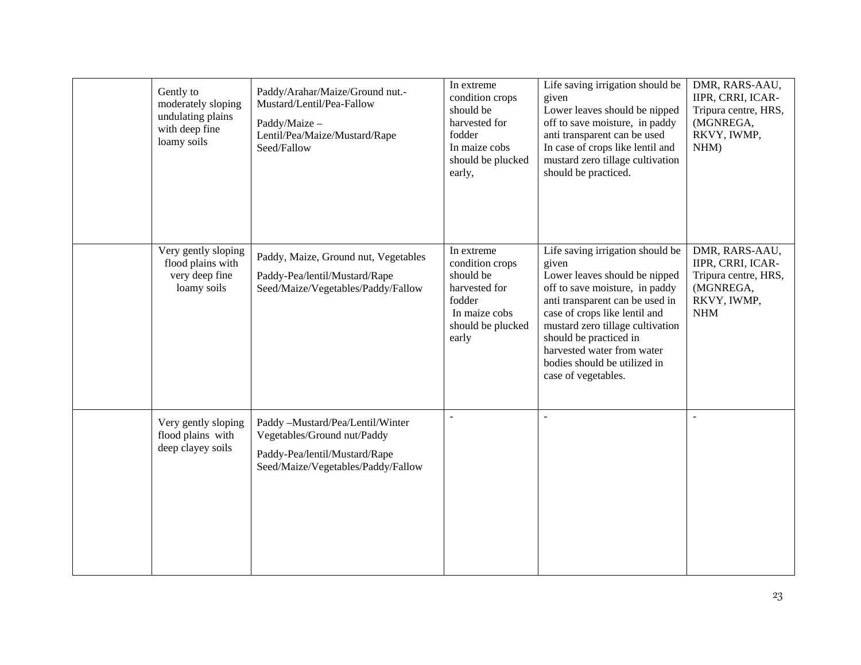| Gently to<br>moderately sloping<br>undulating plains<br>with deep fine<br>loamy soils | Paddy/Arahar/Maize/Ground nut.-<br>Mustard/Lentil/Pea-Fallow<br>Paddy/Maize -<br>Lentil/Pea/Maize/Mustard/Rape<br>Seed/Fallow          | In extreme<br>condition crops<br>should be<br>harvested for<br>fodder<br>In maize cobs<br>should be plucked<br>early, | Life saving irrigation should be<br>given<br>Lower leaves should be nipped<br>off to save moisture, in paddy<br>anti transparent can be used<br>In case of crops like lentil and<br>mustard zero tillage cultivation<br>should be practiced.                                                                                        | DMR, RARS-AAU,<br>IIPR, CRRI, ICAR-<br>Tripura centre, HRS,<br>(MGNREGA,<br>RKVY, IWMP,<br>NHM)       |
|---------------------------------------------------------------------------------------|----------------------------------------------------------------------------------------------------------------------------------------|-----------------------------------------------------------------------------------------------------------------------|-------------------------------------------------------------------------------------------------------------------------------------------------------------------------------------------------------------------------------------------------------------------------------------------------------------------------------------|-------------------------------------------------------------------------------------------------------|
| Very gently sloping<br>flood plains with<br>very deep fine<br>loamy soils             | Paddy, Maize, Ground nut, Vegetables<br>Paddy-Pea/lentil/Mustard/Rape<br>Seed/Maize/Vegetables/Paddy/Fallow                            | In extreme<br>condition crops<br>should be<br>harvested for<br>fodder<br>In maize cobs<br>should be plucked<br>early  | Life saving irrigation should be<br>given<br>Lower leaves should be nipped<br>off to save moisture, in paddy<br>anti transparent can be used in<br>case of crops like lentil and<br>mustard zero tillage cultivation<br>should be practiced in<br>harvested water from water<br>bodies should be utilized in<br>case of vegetables. | DMR, RARS-AAU,<br>IIPR, CRRI, ICAR-<br>Tripura centre, HRS,<br>(MGNREGA,<br>RKVY, IWMP,<br><b>NHM</b> |
| Very gently sloping<br>flood plains with<br>deep clayey soils                         | Paddy -Mustard/Pea/Lentil/Winter<br>Vegetables/Ground nut/Paddy<br>Paddy-Pea/lentil/Mustard/Rape<br>Seed/Maize/Vegetables/Paddy/Fallow | $\blacksquare$                                                                                                        |                                                                                                                                                                                                                                                                                                                                     | $\blacksquare$                                                                                        |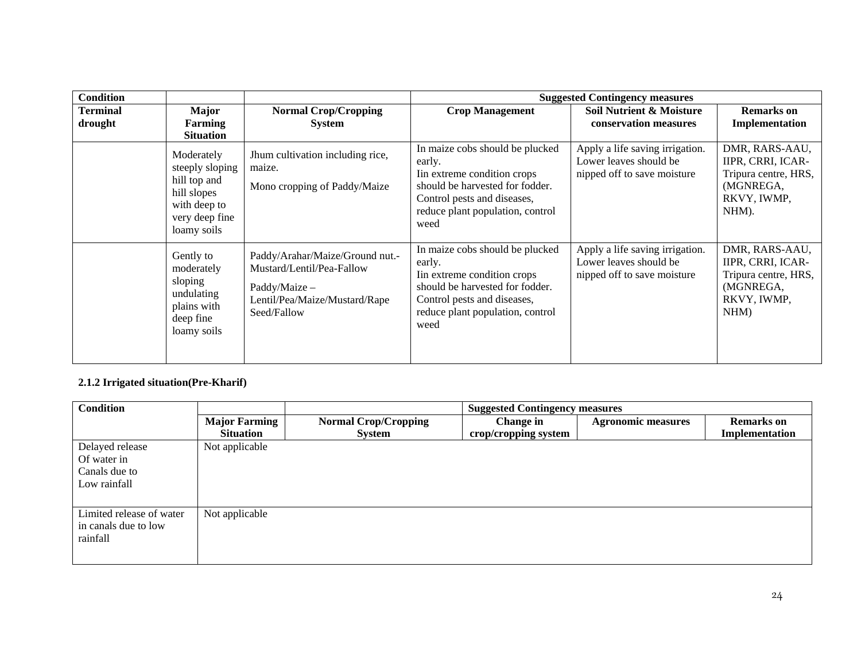| <b>Condition</b>           |                                                                                                               |                                                                                                                               | <b>Suggested Contingency measures</b>                                                                                                                                                  |                                                                                          |                                                                                                  |  |
|----------------------------|---------------------------------------------------------------------------------------------------------------|-------------------------------------------------------------------------------------------------------------------------------|----------------------------------------------------------------------------------------------------------------------------------------------------------------------------------------|------------------------------------------------------------------------------------------|--------------------------------------------------------------------------------------------------|--|
| <b>Terminal</b><br>drought | <b>Major</b><br>Farming<br><b>Situation</b>                                                                   | <b>Normal Crop/Cropping</b><br><b>System</b>                                                                                  | <b>Crop Management</b>                                                                                                                                                                 | Soil Nutrient & Moisture<br>conservation measures                                        | <b>Remarks</b> on<br>Implementation                                                              |  |
|                            | Moderately<br>steeply sloping<br>hill top and<br>hill slopes<br>with deep to<br>very deep fine<br>loamy soils | Jhum cultivation including rice,<br>maize.<br>Mono cropping of Paddy/Maize                                                    | In maize cobs should be plucked<br>early.<br>Iin extreme condition crops<br>should be harvested for fodder.<br>Control pests and diseases,<br>reduce plant population, control<br>weed | Apply a life saving irrigation.<br>Lower leaves should be<br>nipped off to save moisture | DMR, RARS-AAU,<br>IIPR, CRRI, ICAR-<br>Tripura centre, HRS,<br>(MGNREGA,<br>RKVY, IWMP,<br>NHM). |  |
|                            | Gently to<br>moderately<br>sloping<br>undulating<br>plains with<br>deep fine<br>loamy soils                   | Paddy/Arahar/Maize/Ground nut.-<br>Mustard/Lentil/Pea-Fallow<br>Paddy/Maize -<br>Lentil/Pea/Maize/Mustard/Rape<br>Seed/Fallow | In maize cobs should be plucked<br>early.<br>In extreme condition crops<br>should be harvested for fodder.<br>Control pests and diseases,<br>reduce plant population, control<br>weed  | Apply a life saving irrigation.<br>Lower leaves should be<br>nipped off to save moisture | DMR, RARS-AAU,<br>IIPR, CRRI, ICAR-<br>Tripura centre, HRS,<br>(MGNREGA,<br>RKVY, IWMP,<br>NHM   |  |

### **2.1.2 Irrigated situation(Pre-Kharif)**

| <b>Condition</b>         |                      |                             | <b>Suggested Contingency measures</b> |                           |                   |
|--------------------------|----------------------|-----------------------------|---------------------------------------|---------------------------|-------------------|
|                          | <b>Major Farming</b> | <b>Normal Crop/Cropping</b> | Change in                             | <b>Agronomic measures</b> | <b>Remarks</b> on |
|                          | <b>Situation</b>     | <b>System</b>               | crop/cropping system                  |                           | Implementation    |
| Delayed release          | Not applicable       |                             |                                       |                           |                   |
| Of water in              |                      |                             |                                       |                           |                   |
| Canals due to            |                      |                             |                                       |                           |                   |
| Low rainfall             |                      |                             |                                       |                           |                   |
|                          |                      |                             |                                       |                           |                   |
| Limited release of water | Not applicable       |                             |                                       |                           |                   |
| in canals due to low     |                      |                             |                                       |                           |                   |
| rainfall                 |                      |                             |                                       |                           |                   |
|                          |                      |                             |                                       |                           |                   |
|                          |                      |                             |                                       |                           |                   |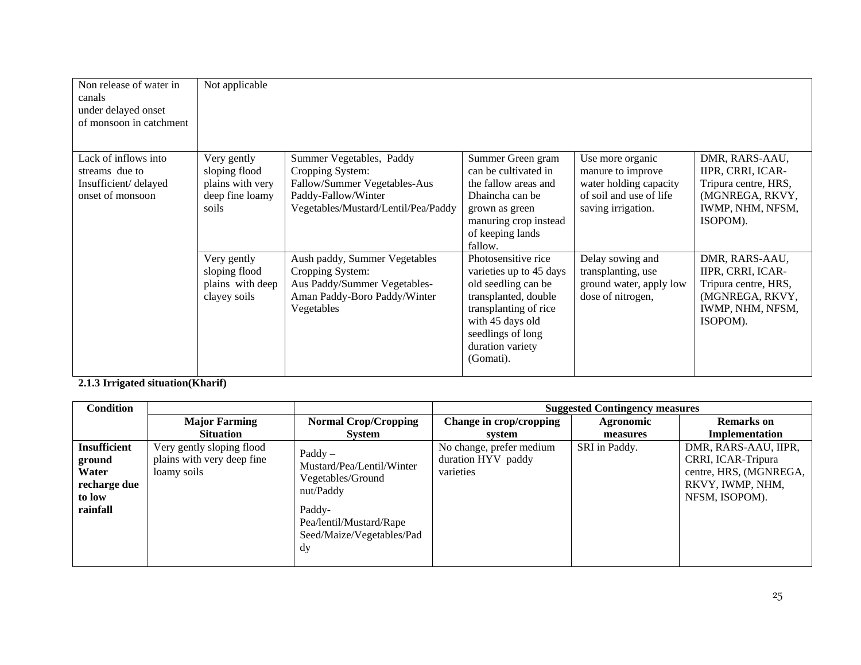| Non release of water in<br>canals<br>under delayed onset<br>of monsoon in catchment | Not applicable                                                               |                                                                                                                                            |                                                                                                                                                                                                  |                                                                                                                  |                                                                                                                |
|-------------------------------------------------------------------------------------|------------------------------------------------------------------------------|--------------------------------------------------------------------------------------------------------------------------------------------|--------------------------------------------------------------------------------------------------------------------------------------------------------------------------------------------------|------------------------------------------------------------------------------------------------------------------|----------------------------------------------------------------------------------------------------------------|
| Lack of inflows into<br>streams due to<br>Insufficient/delayed<br>onset of monsoon  | Very gently<br>sloping flood<br>plains with very<br>deep fine loamy<br>soils | Summer Vegetables, Paddy<br>Cropping System:<br>Fallow/Summer Vegetables-Aus<br>Paddy-Fallow/Winter<br>Vegetables/Mustard/Lentil/Pea/Paddy | Summer Green gram<br>can be cultivated in<br>the fallow areas and<br>Dhaincha can be<br>grown as green<br>manuring crop instead<br>of keeping lands<br>fallow.                                   | Use more organic<br>manure to improve<br>water holding capacity<br>of soil and use of life<br>saving irrigation. | DMR, RARS-AAU,<br>IIPR, CRRI, ICAR-<br>Tripura centre, HRS,<br>(MGNREGA, RKVY,<br>IWMP, NHM, NFSM,<br>ISOPOM). |
|                                                                                     | Very gently<br>sloping flood<br>plains with deep<br>clayey soils             | Aush paddy, Summer Vegetables<br>Cropping System:<br>Aus Paddy/Summer Vegetables-<br>Aman Paddy-Boro Paddy/Winter<br>Vegetables            | Photosensitive rice<br>varieties up to 45 days<br>old seedling can be<br>transplanted, double<br>transplanting of rice<br>with 45 days old<br>seedlings of long<br>duration variety<br>(Gomati). | Delay sowing and<br>transplanting, use<br>ground water, apply low<br>dose of nitrogen,                           | DMR, RARS-AAU,<br>IIPR, CRRI, ICAR-<br>Tripura centre, HRS,<br>(MGNREGA, RKVY,<br>IWMP, NHM, NFSM,<br>ISOPOM). |

**2.1.3 Irrigated situation(Kharif)**

| Condition                                                                    |                                                                        |                                                                                                                                                         | <b>Suggested Contingency measures</b>                       |               |                                                                                                            |  |
|------------------------------------------------------------------------------|------------------------------------------------------------------------|---------------------------------------------------------------------------------------------------------------------------------------------------------|-------------------------------------------------------------|---------------|------------------------------------------------------------------------------------------------------------|--|
|                                                                              | <b>Major Farming</b>                                                   | <b>Normal Crop/Cropping</b>                                                                                                                             | Change in crop/cropping                                     | Agronomic     | <b>Remarks</b> on                                                                                          |  |
|                                                                              | <b>Situation</b>                                                       | System                                                                                                                                                  | system                                                      | measures      | Implementation                                                                                             |  |
| <b>Insufficient</b><br>ground<br>Water<br>recharge due<br>to low<br>rainfall | Very gently sloping flood<br>plains with very deep fine<br>loamy soils | $\text{Paddy}$ –<br>Mustard/Pea/Lentil/Winter<br>Vegetables/Ground<br>nut/Paddy<br>Paddy-<br>Pea/lentil/Mustard/Rape<br>Seed/Maize/Vegetables/Pad<br>dy | No change, prefer medium<br>duration HYV paddy<br>varieties | SRI in Paddy. | DMR, RARS-AAU, IIPR,<br>CRRI, ICAR-Tripura<br>centre, HRS, (MGNREGA,<br>RKVY, IWMP, NHM,<br>NFSM, ISOPOM). |  |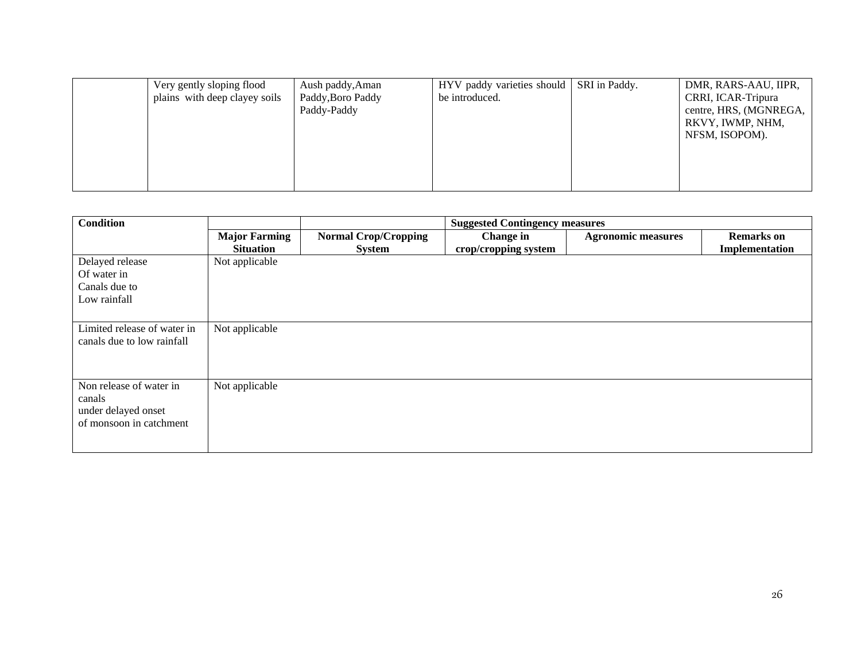| Very gently sloping flood<br>plains with deep clayey soils | Aush paddy, Aman<br>Paddy, Boro Paddy<br>Paddy-Paddy | HYV paddy varieties should<br>be introduced. | SRI in Paddy. | DMR, RARS-AAU, IIPR,<br>CRRI, ICAR-Tripura<br>centre, HRS, (MGNREGA,<br>RKVY, IWMP, NHM,<br>NFSM, ISOPOM). |
|------------------------------------------------------------|------------------------------------------------------|----------------------------------------------|---------------|------------------------------------------------------------------------------------------------------------|
|------------------------------------------------------------|------------------------------------------------------|----------------------------------------------|---------------|------------------------------------------------------------------------------------------------------------|

| <b>Condition</b>            |                      |                             | <b>Suggested Contingency measures</b> |                           |                   |
|-----------------------------|----------------------|-----------------------------|---------------------------------------|---------------------------|-------------------|
|                             | <b>Major Farming</b> | <b>Normal Crop/Cropping</b> | Change in                             | <b>Agronomic measures</b> | <b>Remarks</b> on |
|                             | <b>Situation</b>     | <b>System</b>               | crop/cropping system                  |                           | Implementation    |
| Delayed release             | Not applicable       |                             |                                       |                           |                   |
| Of water in                 |                      |                             |                                       |                           |                   |
| Canals due to               |                      |                             |                                       |                           |                   |
| Low rainfall                |                      |                             |                                       |                           |                   |
|                             |                      |                             |                                       |                           |                   |
| Limited release of water in | Not applicable       |                             |                                       |                           |                   |
| canals due to low rainfall  |                      |                             |                                       |                           |                   |
|                             |                      |                             |                                       |                           |                   |
|                             |                      |                             |                                       |                           |                   |
| Non release of water in     | Not applicable       |                             |                                       |                           |                   |
| canals                      |                      |                             |                                       |                           |                   |
| under delayed onset         |                      |                             |                                       |                           |                   |
| of monsoon in catchment     |                      |                             |                                       |                           |                   |
|                             |                      |                             |                                       |                           |                   |
|                             |                      |                             |                                       |                           |                   |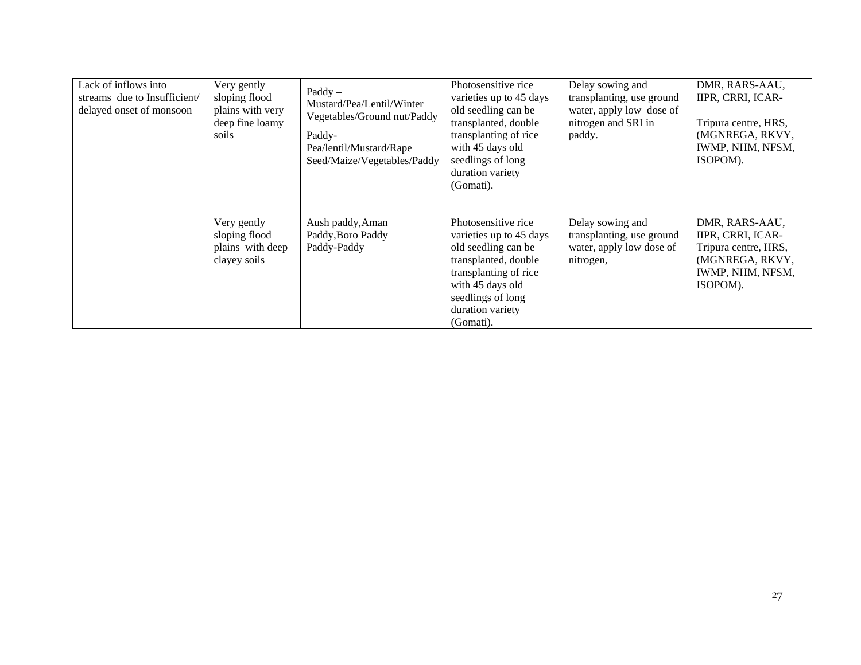| Lack of inflows into<br>streams due to Insufficient/<br>delayed onset of monsoon | Very gently<br>sloping flood<br>plains with very<br>deep fine loamy<br>soils | $\text{Paddy}$ –<br>Mustard/Pea/Lentil/Winter<br>Vegetables/Ground nut/Paddy<br>Paddy-<br>Pea/lentil/Mustard/Rape<br>Seed/Maize/Vegetables/Paddy | Photosensitive rice<br>varieties up to 45 days<br>old seedling can be<br>transplanted, double<br>transplanting of rice<br>with 45 days old<br>seedlings of long<br>duration variety<br>(Gomati). | Delay sowing and<br>transplanting, use ground<br>water, apply low dose of<br>nitrogen and SRI in<br>paddy. | DMR, RARS-AAU,<br>IIPR, CRRI, ICAR-<br>Tripura centre, HRS,<br>(MGNREGA, RKVY,<br>IWMP, NHM, NFSM,<br>ISOPOM). |
|----------------------------------------------------------------------------------|------------------------------------------------------------------------------|--------------------------------------------------------------------------------------------------------------------------------------------------|--------------------------------------------------------------------------------------------------------------------------------------------------------------------------------------------------|------------------------------------------------------------------------------------------------------------|----------------------------------------------------------------------------------------------------------------|
|                                                                                  | Very gently<br>sloping flood<br>plains with deep<br>clayey soils             | Aush paddy, Aman<br>Paddy, Boro Paddy<br>Paddy-Paddy                                                                                             | Photosensitive rice<br>varieties up to 45 days<br>old seedling can be<br>transplanted, double<br>transplanting of rice<br>with 45 days old<br>seedlings of long<br>duration variety<br>(Gomati). | Delay sowing and<br>transplanting, use ground<br>water, apply low dose of<br>nitrogen,                     | DMR, RARS-AAU,<br>IIPR, CRRI, ICAR-<br>Tripura centre, HRS,<br>(MGNREGA, RKVY,<br>IWMP, NHM, NFSM,<br>ISOPOM). |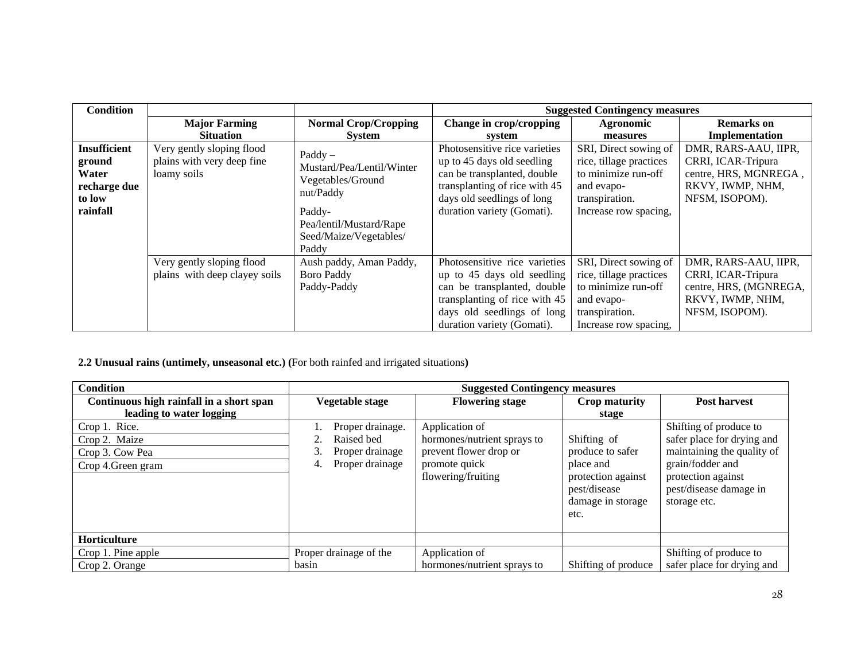| <b>Condition</b>    |                               |                                               |                               | <b>Suggested Contingency measures</b> |                        |
|---------------------|-------------------------------|-----------------------------------------------|-------------------------------|---------------------------------------|------------------------|
|                     | <b>Major Farming</b>          | <b>Normal Crop/Cropping</b>                   | Change in crop/cropping       | Agronomic                             | <b>Remarks</b> on      |
|                     | <b>Situation</b>              | <b>System</b>                                 | system                        | measures                              | Implementation         |
| <b>Insufficient</b> | Very gently sloping flood     |                                               | Photosensitive rice varieties | SRI, Direct sowing of                 | DMR, RARS-AAU, IIPR,   |
| ground              | plains with very deep fine    | $\text{Paddy}$ –<br>Mustard/Pea/Lentil/Winter | up to 45 days old seedling    | rice, tillage practices               | CRRI, ICAR-Tripura     |
| Water               | loamy soils                   |                                               | can be transplanted, double   | to minimize run-off                   | centre, HRS, MGNREGA,  |
| recharge due        |                               | Vegetables/Ground                             | transplanting of rice with 45 | and evapo-                            | RKVY, IWMP, NHM,       |
| to low              |                               | nut/Paddy                                     | days old seedlings of long    | transpiration.                        | NFSM, ISOPOM).         |
| rainfall            |                               | Paddy-                                        | duration variety (Gomati).    | Increase row spacing,                 |                        |
|                     |                               | Pea/lentil/Mustard/Rape                       |                               |                                       |                        |
|                     |                               | Seed/Maize/Vegetables/                        |                               |                                       |                        |
|                     |                               | Paddy                                         |                               |                                       |                        |
|                     | Very gently sloping flood     | Aush paddy, Aman Paddy,                       | Photosensitive rice varieties | SRI, Direct sowing of                 | DMR, RARS-AAU, IIPR,   |
|                     | plains with deep clayey soils | <b>Boro Paddy</b>                             | up to 45 days old seedling    | rice, tillage practices               | CRRI, ICAR-Tripura     |
|                     |                               | Paddy-Paddy                                   | can be transplanted, double   | to minimize run-off                   | centre, HRS, (MGNREGA, |
|                     |                               |                                               | transplanting of rice with 45 | and evapo-                            | RKVY, IWMP, NHM,       |
|                     |                               |                                               | days old seedlings of long    | transpiration.                        | NFSM, ISOPOM).         |
|                     |                               |                                               | duration variety (Gomati).    | Increase row spacing,                 |                        |

**2.2 Unusual rains (untimely, unseasonal etc.) (**For both rainfed and irrigated situations**)**

| <b>Condition</b>                         | <b>Suggested Contingency measures</b> |                                     |                                                                              |                                                                                  |  |
|------------------------------------------|---------------------------------------|-------------------------------------|------------------------------------------------------------------------------|----------------------------------------------------------------------------------|--|
| Continuous high rainfall in a short span | Vegetable stage                       | <b>Flowering stage</b>              | <b>Crop maturity</b>                                                         | Post harvest                                                                     |  |
| leading to water logging                 |                                       |                                     | stage                                                                        |                                                                                  |  |
| Crop 1. Rice.                            | Proper drainage.                      | Application of                      |                                                                              | Shifting of produce to                                                           |  |
| Crop 2. Maize                            | Raised bed                            | hormones/nutrient sprays to         | Shifting of                                                                  | safer place for drying and                                                       |  |
| Crop 3. Cow Pea                          | Proper drainage                       | prevent flower drop or              | produce to safer                                                             | maintaining the quality of                                                       |  |
| Crop 4. Green gram                       | Proper drainage<br>4.                 | promote quick<br>flowering/fruiting | place and<br>protection against<br>pest/disease<br>damage in storage<br>etc. | grain/fodder and<br>protection against<br>pest/disease damage in<br>storage etc. |  |
| Horticulture                             |                                       |                                     |                                                                              |                                                                                  |  |
| Crop 1. Pine apple                       | Proper drainage of the                | Application of                      |                                                                              | Shifting of produce to                                                           |  |
| Crop 2. Orange                           | basin                                 | hormones/nutrient sprays to         | Shifting of produce                                                          | safer place for drying and                                                       |  |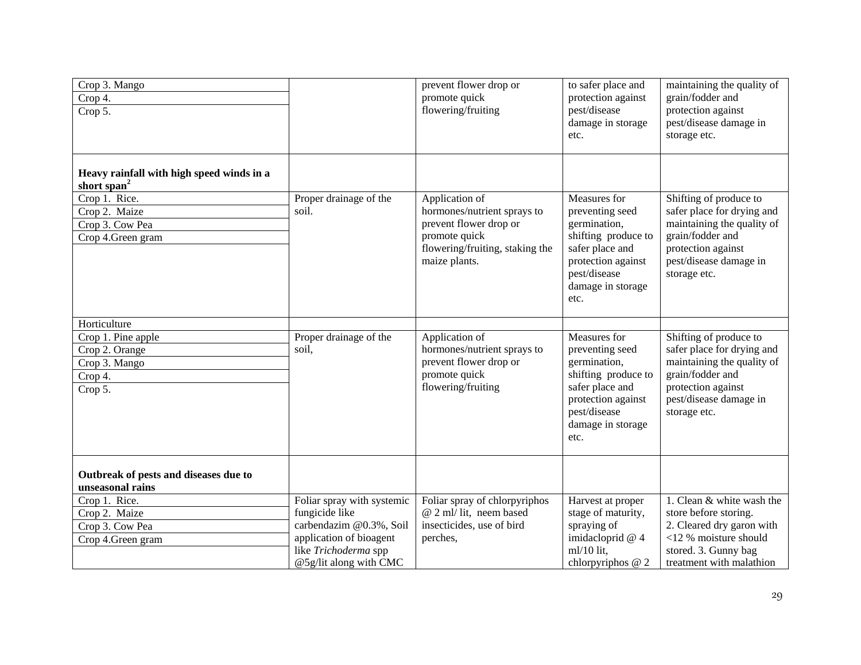| Crop 3. Mango<br>Crop 4.<br>Crop 5.                                                                                                   |                                                                                                                                                      | prevent flower drop or<br>promote quick<br>flowering/fruiting                                                                                | to safer place and<br>protection against<br>pest/disease<br>damage in storage<br>etc.                                                                        | maintaining the quality of<br>grain/fodder and<br>protection against<br>pest/disease damage in<br>storage etc.                                                         |
|---------------------------------------------------------------------------------------------------------------------------------------|------------------------------------------------------------------------------------------------------------------------------------------------------|----------------------------------------------------------------------------------------------------------------------------------------------|--------------------------------------------------------------------------------------------------------------------------------------------------------------|------------------------------------------------------------------------------------------------------------------------------------------------------------------------|
| Heavy rainfall with high speed winds in a<br>short span $2$<br>Crop 1. Rice.<br>Crop 2. Maize<br>Crop 3. Cow Pea<br>Crop 4.Green gram | Proper drainage of the<br>soil.                                                                                                                      | Application of<br>hormones/nutrient sprays to<br>prevent flower drop or<br>promote quick<br>flowering/fruiting, staking the<br>maize plants. | Measures for<br>preventing seed<br>germination,<br>shifting produce to<br>safer place and<br>protection against<br>pest/disease<br>damage in storage<br>etc. | Shifting of produce to<br>safer place for drying and<br>maintaining the quality of<br>grain/fodder and<br>protection against<br>pest/disease damage in<br>storage etc. |
| Horticulture<br>Crop 1. Pine apple<br>Crop 2. Orange<br>Crop 3. Mango<br>Crop 4.<br>Crop 5.                                           | Proper drainage of the<br>soil,                                                                                                                      | Application of<br>hormones/nutrient sprays to<br>prevent flower drop or<br>promote quick<br>flowering/fruiting                               | Measures for<br>preventing seed<br>germination,<br>shifting produce to<br>safer place and<br>protection against<br>pest/disease<br>damage in storage<br>etc. | Shifting of produce to<br>safer place for drying and<br>maintaining the quality of<br>grain/fodder and<br>protection against<br>pest/disease damage in<br>storage etc. |
| Outbreak of pests and diseases due to<br>unseasonal rains<br>Crop 1. Rice.<br>Crop 2. Maize<br>Crop 3. Cow Pea<br>Crop 4.Green gram   | Foliar spray with systemic<br>fungicide like<br>carbendazim @0.3%, Soil<br>application of bioagent<br>like Trichoderma spp<br>@5g/lit along with CMC | Foliar spray of chlorpyriphos<br>@ 2 ml/ lit, neem based<br>insecticides, use of bird<br>perches,                                            | Harvest at proper<br>stage of maturity,<br>spraying of<br>imidacloprid @ 4<br>$ml/10$ lit,<br>chlorpyriphos $@$ 2                                            | 1. Clean & white wash the<br>store before storing.<br>2. Cleared dry garon with<br><12 % moisture should<br>stored. 3. Gunny bag<br>treatment with malathion           |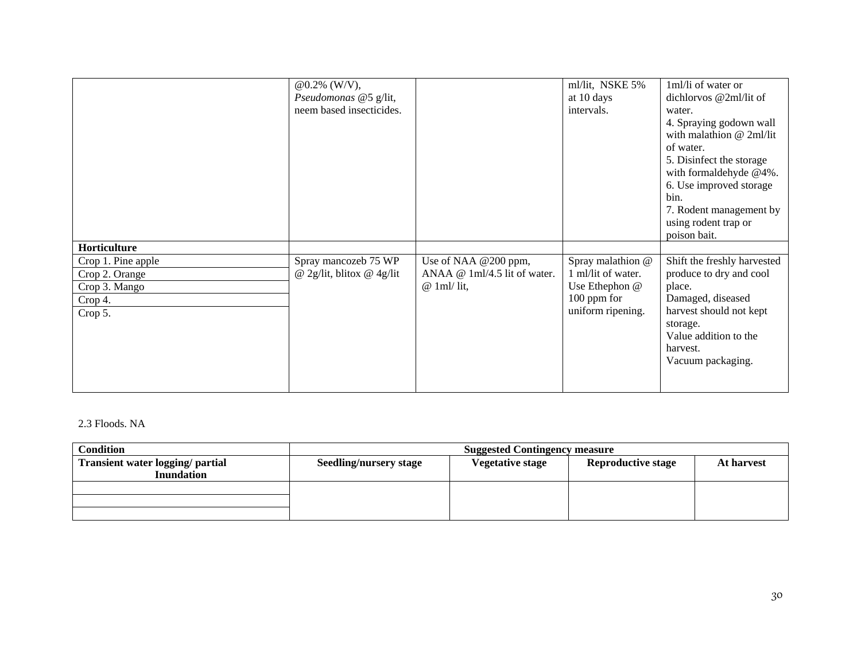|                                                                             | $@0.2\%$ (W/V),<br>Pseudomonas @5 g/lit,<br>neem based insecticides. |                                                                       | ml/lit, NSKE 5%<br>at 10 days<br>intervals.                                                     | 1ml/li of water or<br>dichlorvos @2ml/lit of<br>water.<br>4. Spraying godown wall<br>with malathion $@$ 2ml/lit<br>of water.<br>5. Disinfect the storage                               |
|-----------------------------------------------------------------------------|----------------------------------------------------------------------|-----------------------------------------------------------------------|-------------------------------------------------------------------------------------------------|----------------------------------------------------------------------------------------------------------------------------------------------------------------------------------------|
|                                                                             |                                                                      |                                                                       |                                                                                                 | with formaldehyde @4%.<br>6. Use improved storage<br>bin.<br>7. Rodent management by                                                                                                   |
|                                                                             |                                                                      |                                                                       |                                                                                                 | using rodent trap or<br>poison bait.                                                                                                                                                   |
| Horticulture                                                                |                                                                      |                                                                       |                                                                                                 |                                                                                                                                                                                        |
| Crop 1. Pine apple<br>Crop 2. Orange<br>Crop 3. Mango<br>Crop 4.<br>Crop 5. | Spray mancozeb 75 WP<br>@ 2g/lit, blitox @ 4g/lit                    | Use of NAA @200 ppm,<br>ANAA @ 1ml/4.5 lit of water.<br>$@$ 1ml/ lit, | Spray malathion @<br>1 ml/lit of water.<br>Use Ethephon @<br>$100$ ppm for<br>uniform ripening. | Shift the freshly harvested<br>produce to dry and cool<br>place.<br>Damaged, diseased<br>harvest should not kept<br>storage.<br>Value addition to the<br>harvest.<br>Vacuum packaging. |

### 2.3 Floods. NA

| <b>Condition</b>                 | <b>Suggested Contingency measure</b> |                         |                           |            |  |
|----------------------------------|--------------------------------------|-------------------------|---------------------------|------------|--|
| Transient water logging/ partial | <b>Seedling/nursery stage</b>        | <b>Vegetative stage</b> | <b>Reproductive stage</b> | At harvest |  |
| <b>Inundation</b>                |                                      |                         |                           |            |  |
|                                  |                                      |                         |                           |            |  |
|                                  |                                      |                         |                           |            |  |
|                                  |                                      |                         |                           |            |  |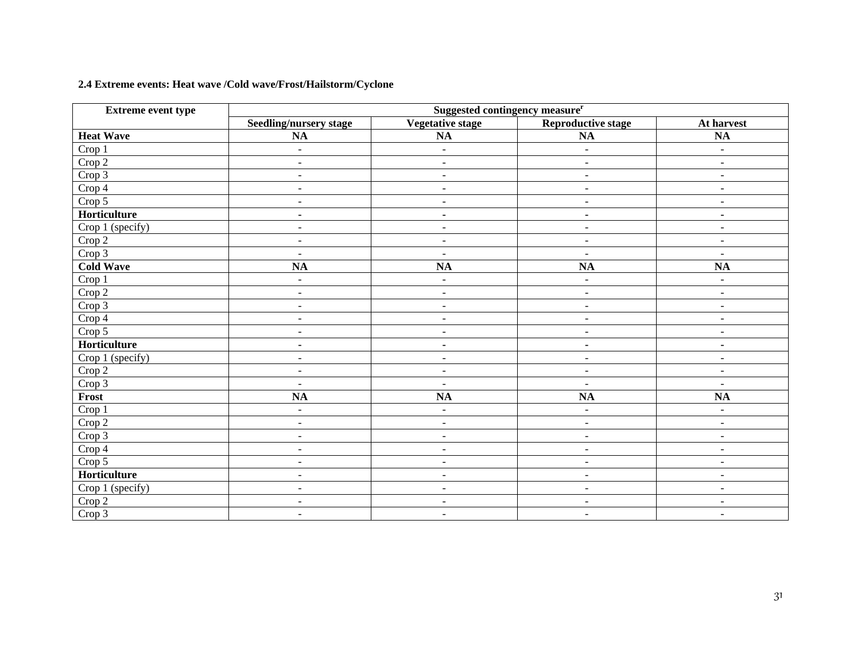## **2.4 Extreme events: Heat wave /Cold wave/Frost/Hailstorm/Cyclone**

| <b>Extreme event type</b>  | Suggested contingency measure <sup>r</sup> |                         |                           |                          |  |  |
|----------------------------|--------------------------------------------|-------------------------|---------------------------|--------------------------|--|--|
|                            | <b>Seedling/nursery stage</b>              | <b>Vegetative stage</b> | <b>Reproductive stage</b> | At harvest               |  |  |
| <b>Heat Wave</b>           | $\mathbf{NA}$                              | NA                      | NA                        | $\mathbf{NA}$            |  |  |
| Crop 1                     | $\overline{a}$                             | $\blacksquare$          | $\overline{a}$            | $\overline{\phantom{a}}$ |  |  |
| Crop 2                     | $\omega$                                   | $\blacksquare$          | $\blacksquare$            | $\blacksquare$           |  |  |
| Crop 3                     | $\blacksquare$                             | $\blacksquare$          | $\blacksquare$            | $\overline{\phantom{a}}$ |  |  |
| Crop 4                     | $\blacksquare$                             | $\blacksquare$          | $\blacksquare$            | $\blacksquare$           |  |  |
| Crop 5                     | $\sim$                                     | $\blacksquare$          | $\sim$                    | $\blacksquare$           |  |  |
| Horticulture               | $\blacksquare$                             | $\blacksquare$          | $\blacksquare$            | $\blacksquare$           |  |  |
| Crop 1 (specify)           | $\blacksquare$                             | $\blacksquare$          | $\blacksquare$            | $\overline{\phantom{a}}$ |  |  |
| $\overline{\text{Crop 2}}$ | $\blacksquare$                             | $\blacksquare$          | $\blacksquare$            | $\overline{\phantom{a}}$ |  |  |
| Crop 3                     | $\blacksquare$                             | $\blacksquare$          | $\blacksquare$            | $\blacksquare$           |  |  |
| <b>Cold Wave</b>           | $\overline{NA}$                            | NA                      | NA                        | $\overline{NA}$          |  |  |
| Crop 1                     | $\blacksquare$                             | $\blacksquare$          | $\blacksquare$            | $\blacksquare$           |  |  |
| Crop 2                     | $\blacksquare$                             | $\blacksquare$          | $\blacksquare$            | $\overline{\phantom{a}}$ |  |  |
| Crop 3                     | $\blacksquare$                             | $\blacksquare$          | $\blacksquare$            | $\blacksquare$           |  |  |
| Crop 4                     | $\blacksquare$                             | $\blacksquare$          | $\blacksquare$            | $\overline{\phantom{a}}$ |  |  |
| Crop 5                     | $\mathbf{r}$                               | $\blacksquare$          | $\blacksquare$            | $\blacksquare$           |  |  |
| Horticulture               | $\blacksquare$                             | $\blacksquare$          | $\blacksquare$            | $\blacksquare$           |  |  |
| Crop 1 (specify)           | $\blacksquare$                             | $\blacksquare$          | $\blacksquare$            | $\overline{\phantom{a}}$ |  |  |
| Crop 2                     | $\sim$                                     | $\blacksquare$          | $\blacksquare$            | $\blacksquare$           |  |  |
| Crop 3                     | $\overline{a}$                             | $\frac{1}{2}$           | $\ddot{\phantom{1}}$      | $\blacksquare$           |  |  |
| Frost                      | $\mathbf{NA}$                              | NA                      | NA                        | <b>NA</b>                |  |  |
| Crop 1                     | $\omega$                                   | $\blacksquare$          | $\blacksquare$            | $\blacksquare$           |  |  |
| $\overline{C}$ rop 2       | $\blacksquare$                             | $\blacksquare$          | $\blacksquare$            | $\blacksquare$           |  |  |
| Crop 3                     | $\blacksquare$                             | $\blacksquare$          | $\blacksquare$            | $\overline{\phantom{a}}$ |  |  |
| Crop 4                     | $\blacksquare$                             | $\blacksquare$          | $\blacksquare$            | $\overline{\phantom{a}}$ |  |  |
| Crop 5                     | $\blacksquare$                             | $\blacksquare$          | $\blacksquare$            | $\blacksquare$           |  |  |
| Horticulture               | $\blacksquare$                             | $\blacksquare$          | $\blacksquare$            | $\overline{\phantom{a}}$ |  |  |
| Crop 1 (specify)           | $\blacksquare$                             | $\blacksquare$          | $\blacksquare$            | $\overline{\phantom{a}}$ |  |  |
| Crop 2                     | $\overline{\phantom{a}}$                   | $\blacksquare$          | $\blacksquare$            | $\blacksquare$           |  |  |
| Crop 3                     | $\overline{\phantom{a}}$                   | $\blacksquare$          | $\overline{\phantom{a}}$  | $\overline{\phantom{a}}$ |  |  |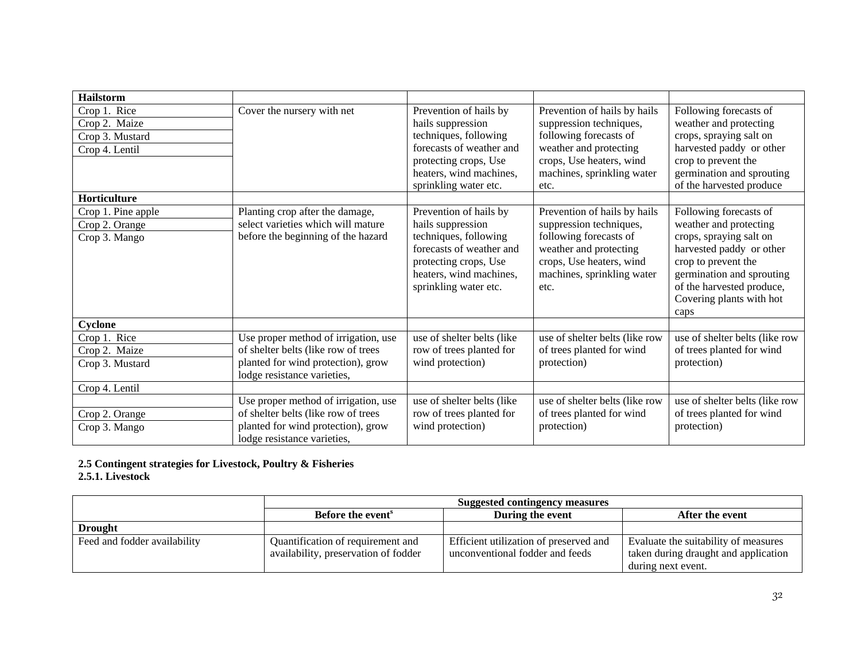| <b>Hailstorm</b>                                                   |                                                                                                                                                  |                                                                                                                                                                               |                                                                                                                                                                               |                                                                                                                                                                                                                              |
|--------------------------------------------------------------------|--------------------------------------------------------------------------------------------------------------------------------------------------|-------------------------------------------------------------------------------------------------------------------------------------------------------------------------------|-------------------------------------------------------------------------------------------------------------------------------------------------------------------------------|------------------------------------------------------------------------------------------------------------------------------------------------------------------------------------------------------------------------------|
| Crop 1. Rice<br>Crop 2. Maize<br>Crop 3. Mustard<br>Crop 4. Lentil | Cover the nursery with net                                                                                                                       | Prevention of hails by<br>hails suppression<br>techniques, following<br>forecasts of weather and<br>protecting crops, Use<br>heaters, wind machines,<br>sprinkling water etc. | Prevention of hails by hails<br>suppression techniques,<br>following forecasts of<br>weather and protecting<br>crops, Use heaters, wind<br>machines, sprinkling water<br>etc. | Following forecasts of<br>weather and protecting<br>crops, spraying salt on<br>harvested paddy or other<br>crop to prevent the<br>germination and sprouting<br>of the harvested produce                                      |
| Horticulture                                                       |                                                                                                                                                  |                                                                                                                                                                               |                                                                                                                                                                               |                                                                                                                                                                                                                              |
| Crop 1. Pine apple<br>Crop 2. Orange<br>Crop 3. Mango              | Planting crop after the damage,<br>select varieties which will mature<br>before the beginning of the hazard                                      | Prevention of hails by<br>hails suppression<br>techniques, following<br>forecasts of weather and<br>protecting crops, Use<br>heaters, wind machines,<br>sprinkling water etc. | Prevention of hails by hails<br>suppression techniques,<br>following forecasts of<br>weather and protecting<br>crops, Use heaters, wind<br>machines, sprinkling water<br>etc. | Following forecasts of<br>weather and protecting<br>crops, spraying salt on<br>harvested paddy or other<br>crop to prevent the<br>germination and sprouting<br>of the harvested produce,<br>Covering plants with hot<br>caps |
| Cyclone                                                            |                                                                                                                                                  |                                                                                                                                                                               |                                                                                                                                                                               |                                                                                                                                                                                                                              |
| Crop 1. Rice<br>Crop 2. Maize<br>Crop 3. Mustard                   | Use proper method of irrigation, use<br>of shelter belts (like row of trees<br>planted for wind protection), grow<br>lodge resistance varieties, | use of shelter belts (like<br>row of trees planted for<br>wind protection)                                                                                                    | use of shelter belts (like row<br>of trees planted for wind<br>protection)                                                                                                    | use of shelter belts (like row<br>of trees planted for wind<br>protection)                                                                                                                                                   |
| Crop 4. Lentil                                                     |                                                                                                                                                  |                                                                                                                                                                               |                                                                                                                                                                               |                                                                                                                                                                                                                              |
| Crop 2. Orange<br>Crop 3. Mango                                    | Use proper method of irrigation, use<br>of shelter belts (like row of trees<br>planted for wind protection), grow<br>lodge resistance varieties, | use of shelter belts (like<br>row of trees planted for<br>wind protection)                                                                                                    | use of shelter belts (like row<br>of trees planted for wind<br>protection)                                                                                                    | use of shelter belts (like row<br>of trees planted for wind<br>protection)                                                                                                                                                   |

#### **2.5 Contingent strategies for Livestock, Poultry & Fisheries 2.5.1. Livestock**

|                              |                                                                           | <b>Suggested contingency measures</b>                                     |                                                                                                    |  |  |  |
|------------------------------|---------------------------------------------------------------------------|---------------------------------------------------------------------------|----------------------------------------------------------------------------------------------------|--|--|--|
|                              | <b>Before the event</b> <sup>s</sup>                                      | After the event                                                           |                                                                                                    |  |  |  |
| <b>Drought</b>               |                                                                           |                                                                           |                                                                                                    |  |  |  |
| Feed and fodder availability | Quantification of requirement and<br>availability, preservation of fodder | Efficient utilization of preserved and<br>unconventional fodder and feeds | Evaluate the suitability of measures<br>taken during draught and application<br>during next event. |  |  |  |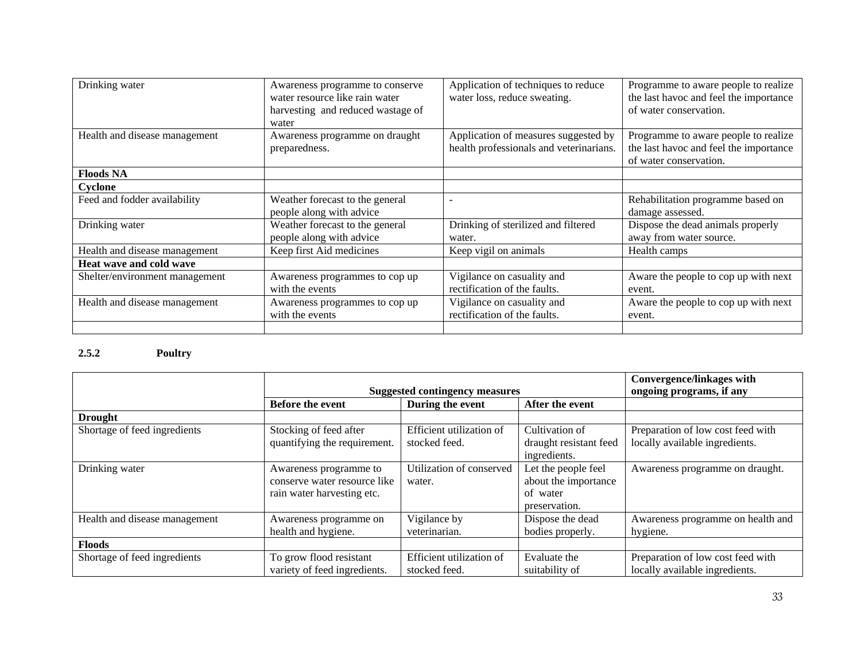| Drinking water                 | Awareness programme to conserve<br>water resource like rain water<br>harvesting and reduced wastage of<br>water | Application of techniques to reduce<br>water loss, reduce sweating.             | Programme to aware people to realize<br>the last havoc and feel the importance<br>of water conservation. |
|--------------------------------|-----------------------------------------------------------------------------------------------------------------|---------------------------------------------------------------------------------|----------------------------------------------------------------------------------------------------------|
| Health and disease management  | Awareness programme on draught<br>preparedness.                                                                 | Application of measures suggested by<br>health professionals and veterinarians. | Programme to aware people to realize<br>the last havoc and feel the importance<br>of water conservation. |
| <b>Floods NA</b>               |                                                                                                                 |                                                                                 |                                                                                                          |
| Cyclone                        |                                                                                                                 |                                                                                 |                                                                                                          |
| Feed and fodder availability   | Weather forecast to the general<br>people along with advice                                                     |                                                                                 | Rehabilitation programme based on<br>damage assessed.                                                    |
| Drinking water                 | Weather forecast to the general<br>people along with advice                                                     | Drinking of sterilized and filtered<br>water.                                   | Dispose the dead animals properly<br>away from water source.                                             |
| Health and disease management  | Keep first Aid medicines                                                                                        | Keep vigil on animals                                                           | Health camps                                                                                             |
| Heat wave and cold wave        |                                                                                                                 |                                                                                 |                                                                                                          |
| Shelter/environment management | Awareness programmes to cop up<br>with the events                                                               | Vigilance on casuality and<br>rectification of the faults.                      | Aware the people to cop up with next<br>event.                                                           |
| Health and disease management  | Awareness programmes to cop up<br>with the events                                                               | Vigilance on casuality and<br>rectification of the faults.                      | Aware the people to cop up with next<br>event.                                                           |
|                                |                                                                                                                 |                                                                                 |                                                                                                          |

## **2.5.2 Poultry**

|                               |                                                                                      | Convergence/linkages with                 |                                                                          |                                                                     |
|-------------------------------|--------------------------------------------------------------------------------------|-------------------------------------------|--------------------------------------------------------------------------|---------------------------------------------------------------------|
|                               |                                                                                      | <b>Suggested contingency measures</b>     |                                                                          | ongoing programs, if any                                            |
|                               | <b>Before the event</b>                                                              | During the event                          | After the event                                                          |                                                                     |
| <b>Drought</b>                |                                                                                      |                                           |                                                                          |                                                                     |
| Shortage of feed ingredients  | Stocking of feed after<br>quantifying the requirement.                               | Efficient utilization of<br>stocked feed. | Cultivation of<br>draught resistant feed<br>ingredients.                 | Preparation of low cost feed with<br>locally available ingredients. |
| Drinking water                | Awareness programme to<br>conserve water resource like<br>rain water harvesting etc. | Utilization of conserved<br>water.        | Let the people feel<br>about the importance<br>of water<br>preservation. | Awareness programme on draught.                                     |
| Health and disease management | Awareness programme on<br>health and hygiene.                                        | Vigilance by<br>veterinarian.             | Dispose the dead<br>bodies properly.                                     | Awareness programme on health and<br>hygiene.                       |
| <b>Floods</b>                 |                                                                                      |                                           |                                                                          |                                                                     |
| Shortage of feed ingredients  | To grow flood resistant<br>variety of feed ingredients.                              | Efficient utilization of<br>stocked feed. | Evaluate the<br>suitability of                                           | Preparation of low cost feed with<br>locally available ingredients. |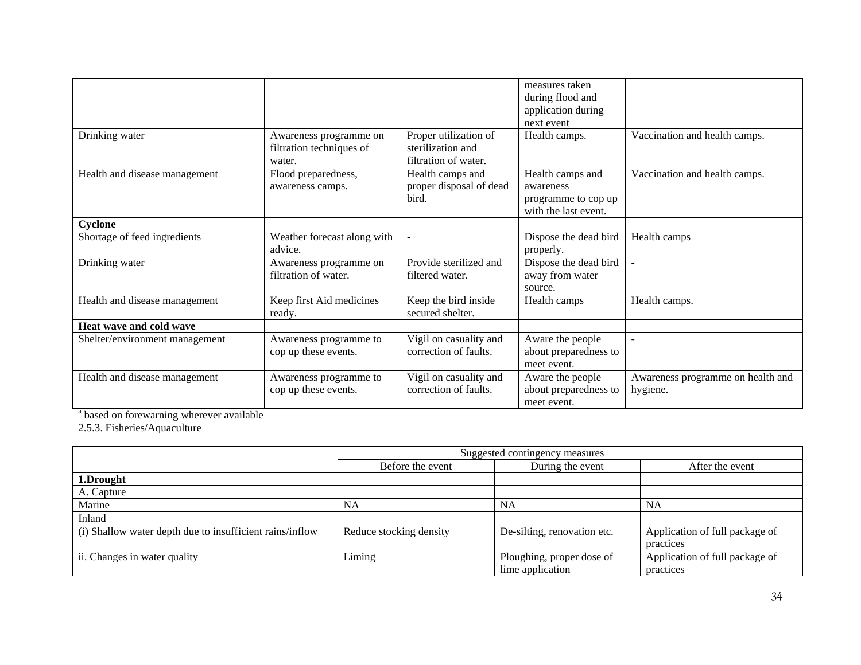|                                |                                                              |                                                                    | measures taken<br>during flood and                                           |                                               |
|--------------------------------|--------------------------------------------------------------|--------------------------------------------------------------------|------------------------------------------------------------------------------|-----------------------------------------------|
|                                |                                                              |                                                                    | application during                                                           |                                               |
|                                |                                                              |                                                                    | next event                                                                   |                                               |
| Drinking water                 | Awareness programme on<br>filtration techniques of<br>water. | Proper utilization of<br>sterilization and<br>filtration of water. | Health camps.                                                                | Vaccination and health camps.                 |
| Health and disease management  | Flood preparedness,<br>awareness camps.                      | Health camps and<br>proper disposal of dead<br>bird.               | Health camps and<br>awareness<br>programme to cop up<br>with the last event. | Vaccination and health camps.                 |
| Cyclone                        |                                                              |                                                                    |                                                                              |                                               |
| Shortage of feed ingredients   | Weather forecast along with<br>advice.                       |                                                                    | Dispose the dead bird<br>properly.                                           | Health camps                                  |
| Drinking water                 | Awareness programme on<br>filtration of water.               | Provide sterilized and<br>filtered water.                          | Dispose the dead bird<br>away from water<br>source.                          |                                               |
| Health and disease management  | Keep first Aid medicines<br>ready.                           | Keep the bird inside<br>secured shelter.                           | Health camps                                                                 | Health camps.                                 |
| Heat wave and cold wave        |                                                              |                                                                    |                                                                              |                                               |
| Shelter/environment management | Awareness programme to<br>cop up these events.               | Vigil on casuality and<br>correction of faults.                    | Aware the people<br>about preparedness to<br>meet event.                     |                                               |
| Health and disease management  | Awareness programme to<br>cop up these events.               | Vigil on casuality and<br>correction of faults.                    | Aware the people<br>about preparedness to<br>meet event.                     | Awareness programme on health and<br>hygiene. |

<sup>a</sup> based on forewarning wherever available

2.5.3. Fisheries/Aquaculture

|                                                          | Suggested contingency measures |                             |                                |  |
|----------------------------------------------------------|--------------------------------|-----------------------------|--------------------------------|--|
|                                                          | Before the event               | During the event            | After the event                |  |
| 1.Drought                                                |                                |                             |                                |  |
| A. Capture                                               |                                |                             |                                |  |
| Marine                                                   | NA                             | NA                          | <b>NA</b>                      |  |
| Inland                                                   |                                |                             |                                |  |
| (i) Shallow water depth due to insufficient rains/inflow | Reduce stocking density        | De-silting, renovation etc. | Application of full package of |  |
|                                                          |                                |                             | practices                      |  |
| ii. Changes in water quality                             | Liming                         | Ploughing, proper dose of   | Application of full package of |  |
|                                                          |                                | lime application            | practices                      |  |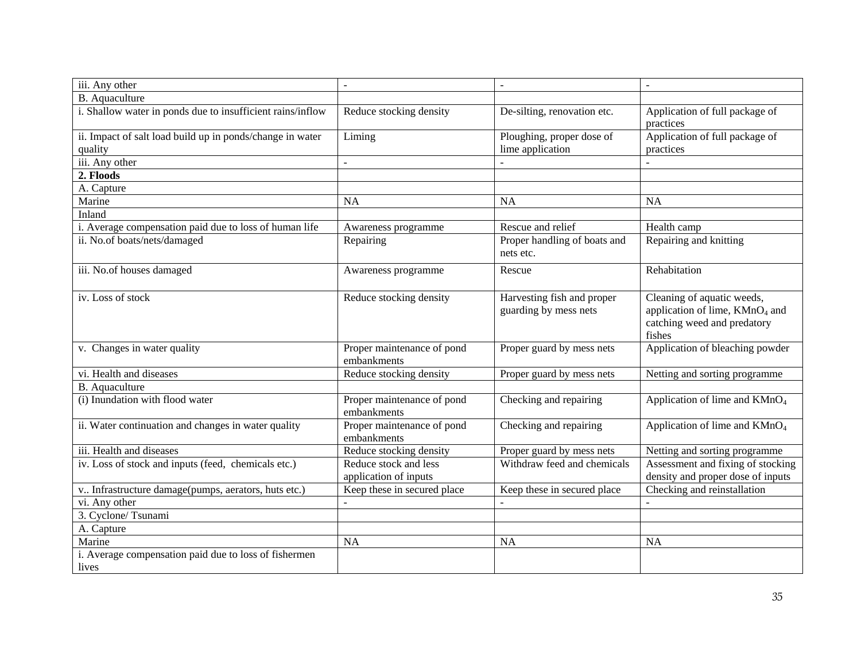| iii. Any other                                                       | $\blacksquare$                                 | $\blacksquare$                                      | $\blacksquare$                                                                                                    |
|----------------------------------------------------------------------|------------------------------------------------|-----------------------------------------------------|-------------------------------------------------------------------------------------------------------------------|
| <b>B.</b> Aquaculture                                                |                                                |                                                     |                                                                                                                   |
| i. Shallow water in ponds due to insufficient rains/inflow           | Reduce stocking density                        | De-silting, renovation etc.                         | Application of full package of<br>practices                                                                       |
| ii. Impact of salt load build up in ponds/change in water<br>quality | Liming                                         | Ploughing, proper dose of<br>lime application       | Application of full package of<br>practices                                                                       |
| iii. Any other                                                       |                                                |                                                     |                                                                                                                   |
| 2. Floods                                                            |                                                |                                                     |                                                                                                                   |
| A. Capture                                                           |                                                |                                                     |                                                                                                                   |
| Marine                                                               | <b>NA</b>                                      | <b>NA</b>                                           | <b>NA</b>                                                                                                         |
| Inland                                                               |                                                |                                                     |                                                                                                                   |
| i. Average compensation paid due to loss of human life               | Awareness programme                            | Rescue and relief                                   | Health camp                                                                                                       |
| ii. No.of boats/nets/damaged                                         | Repairing                                      | Proper handling of boats and<br>nets etc.           | Repairing and knitting                                                                                            |
| iii. No.of houses damaged                                            | Awareness programme                            | Rescue                                              | Rehabitation                                                                                                      |
| iv. Loss of stock                                                    | Reduce stocking density                        | Harvesting fish and proper<br>guarding by mess nets | Cleaning of aquatic weeds,<br>application of lime, KMnO <sub>4</sub> and<br>catching weed and predatory<br>fishes |
| v. Changes in water quality                                          | Proper maintenance of pond<br>embankments      | Proper guard by mess nets                           | Application of bleaching powder                                                                                   |
| vi. Health and diseases                                              | Reduce stocking density                        | Proper guard by mess nets                           | Netting and sorting programme                                                                                     |
| <b>B.</b> Aquaculture                                                |                                                |                                                     |                                                                                                                   |
| (i) Inundation with flood water                                      | Proper maintenance of pond<br>embankments      | Checking and repairing                              | Application of lime and KMnO <sub>4</sub>                                                                         |
| ii. Water continuation and changes in water quality                  | Proper maintenance of pond<br>embankments      | Checking and repairing                              | Application of lime and $KMnO4$                                                                                   |
| iii. Health and diseases                                             | Reduce stocking density                        | Proper guard by mess nets                           | Netting and sorting programme                                                                                     |
| iv. Loss of stock and inputs (feed, chemicals etc.)                  | Reduce stock and less<br>application of inputs | Withdraw feed and chemicals                         | Assessment and fixing of stocking<br>density and proper dose of inputs                                            |
| v Infrastructure damage(pumps, aerators, huts etc.)                  | Keep these in secured place                    | Keep these in secured place                         | Checking and reinstallation                                                                                       |
| vi. Any other                                                        |                                                |                                                     |                                                                                                                   |
| 3. Cyclone/Tsunami                                                   |                                                |                                                     |                                                                                                                   |
| A. Capture                                                           |                                                |                                                     |                                                                                                                   |
| Marine                                                               | <b>NA</b>                                      | <b>NA</b>                                           | <b>NA</b>                                                                                                         |
| i. Average compensation paid due to loss of fishermen<br>lives       |                                                |                                                     |                                                                                                                   |